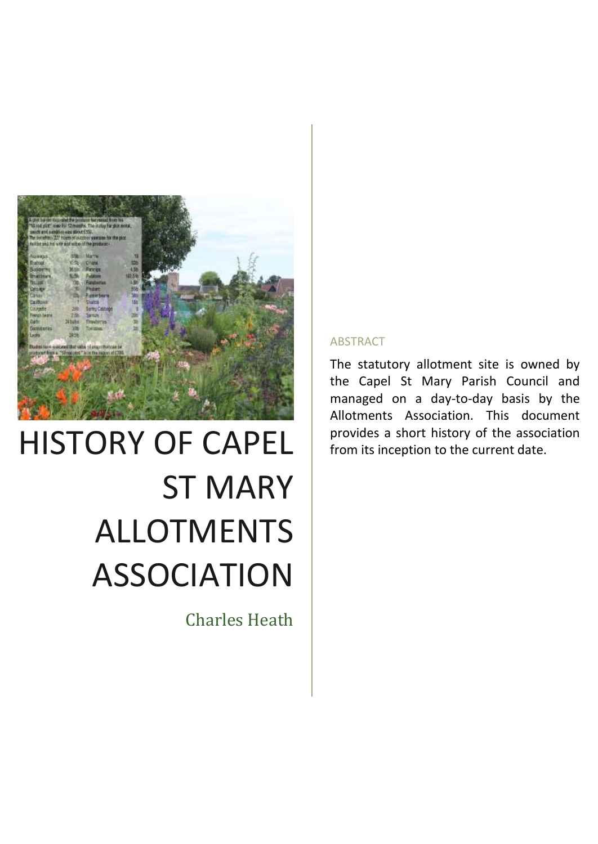

# HISTORY OF CAPEL ST MARY ALLOTMENTS ASSOCIATION

Charles Heath

#### ABSTRACT

The statutory allotment site is owned by the Capel St Mary Parish Council and managed on a day-to-day basis by the Allotments Association. This document provides a short history of the association from its inception to the current date.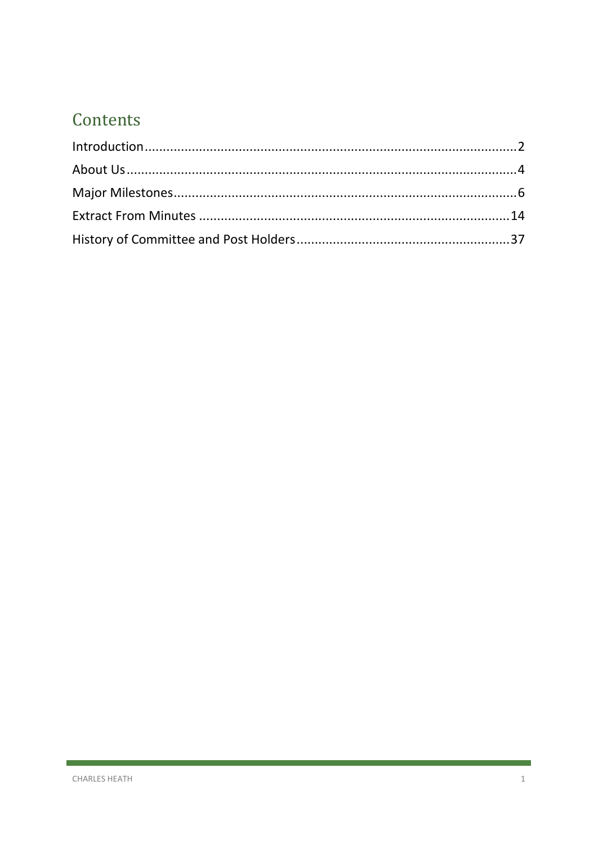## Contents

ľ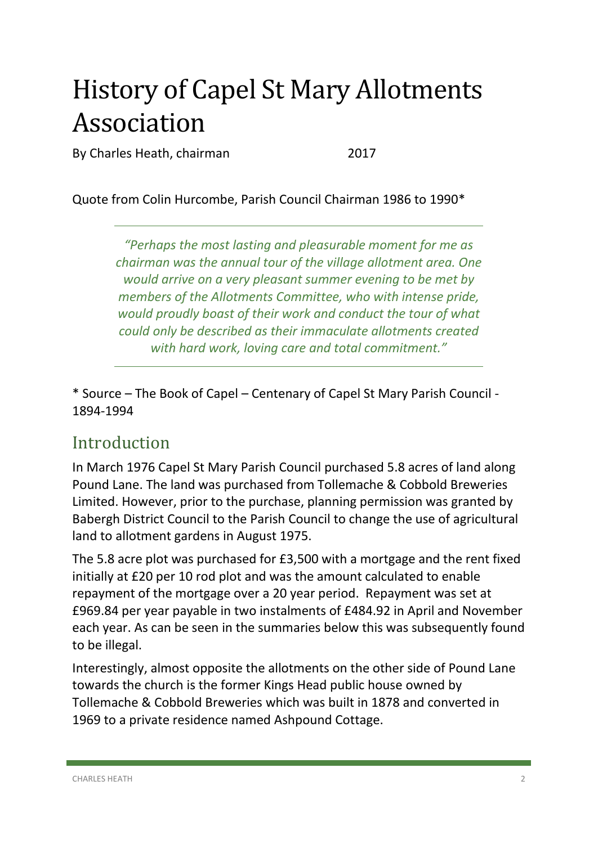## History of Capel St Mary Allotments Association

By Charles Heath, chairman 2017

Quote from Colin Hurcombe, Parish Council Chairman 1986 to 1990\*

*"Perhaps the most lasting and pleasurable moment for me as chairman was the annual tour of the village allotment area. One would arrive on a very pleasant summer evening to be met by members of the Allotments Committee, who with intense pride, would proudly boast of their work and conduct the tour of what could only be described as their immaculate allotments created with hard work, loving care and total commitment."* 

\* Source – The Book of Capel – Centenary of Capel St Mary Parish Council - 1894-1994

## <span id="page-2-0"></span>Introduction

In March 1976 Capel St Mary Parish Council purchased 5.8 acres of land along Pound Lane. The land was purchased from Tollemache & Cobbold Breweries Limited. However, prior to the purchase, planning permission was granted by Babergh District Council to the Parish Council to change the use of agricultural land to allotment gardens in August 1975.

The 5.8 acre plot was purchased for £3,500 with a mortgage and the rent fixed initially at £20 per 10 rod plot and was the amount calculated to enable repayment of the mortgage over a 20 year period. Repayment was set at £969.84 per year payable in two instalments of £484.92 in April and November each year. As can be seen in the summaries below this was subsequently found to be illegal.

Interestingly, almost opposite the allotments on the other side of Pound Lane towards the church is the former Kings Head public house owned by Tollemache & Cobbold Breweries which was built in 1878 and converted in 1969 to a private residence named Ashpound Cottage.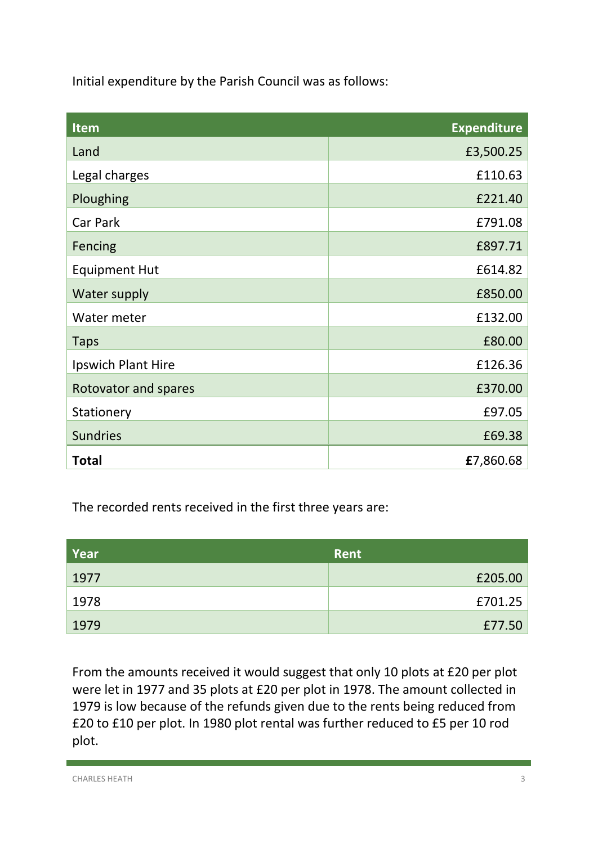Initial expenditure by the Parish Council was as follows:

| Item                 | <b>Expenditure</b> |
|----------------------|--------------------|
| Land                 | £3,500.25          |
| Legal charges        | £110.63            |
| Ploughing            | £221.40            |
| Car Park             | £791.08            |
| Fencing              | £897.71            |
| <b>Equipment Hut</b> | £614.82            |
| Water supply         | £850.00            |
| Water meter          | £132.00            |
| <b>Taps</b>          | £80.00             |
| Ipswich Plant Hire   | £126.36            |
| Rotovator and spares | £370.00            |
| Stationery           | £97.05             |
| <b>Sundries</b>      | £69.38             |
| <b>Total</b>         | £7,860.68          |

The recorded rents received in the first three years are:

| Year | <b>Rent</b> |
|------|-------------|
| 1977 | £205.00     |
| 1978 | £701.25     |
| 1979 | £77.50      |

From the amounts received it would suggest that only 10 plots at £20 per plot were let in 1977 and 35 plots at £20 per plot in 1978. The amount collected in 1979 is low because of the refunds given due to the rents being reduced from £20 to £10 per plot. In 1980 plot rental was further reduced to £5 per 10 rod plot.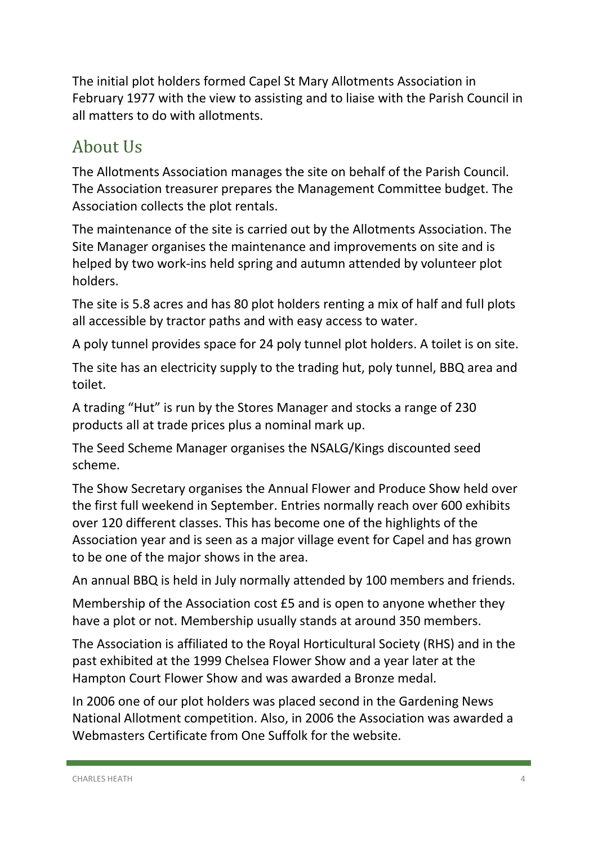The initial plot holders formed Capel St Mary Allotments Association in February 1977 with the view to assisting and to liaise with the Parish Council in all matters to do with allotments.

## <span id="page-4-0"></span>About Us

The Allotments Association manages the site on behalf of the Parish Council. The Association treasurer prepares the Management Committee budget. The Association collects the plot rentals.

The maintenance of the site is carried out by the Allotments Association. The Site Manager organises the maintenance and improvements on site and is helped by two work-ins held spring and autumn attended by volunteer plot holders.

The site is 5.8 acres and has 80 plot holders renting a mix of half and full plots all accessible by tractor paths and with easy access to water.

A poly tunnel provides space for 24 poly tunnel plot holders. A toilet is on site.

The site has an electricity supply to the trading hut, poly tunnel, BBQ area and toilet.

A trading "Hut" is run by the Stores Manager and stocks a range of 230 products all at trade prices plus a nominal mark up.

The Seed Scheme Manager organises the NSALG/Kings discounted seed scheme.

The Show Secretary organises the Annual Flower and Produce Show held over the first full weekend in September. Entries normally reach over 600 exhibits over 120 different classes. This has become one of the highlights of the Association year and is seen as a major village event for Capel and has grown to be one of the major shows in the area.

An annual BBQ is held in July normally attended by 100 members and friends.

Membership of the Association cost £5 and is open to anyone whether they have a plot or not. Membership usually stands at around 350 members.

The Association is affiliated to the Royal Horticultural Society (RHS) and in the past exhibited at the 1999 Chelsea Flower Show and a year later at the Hampton Court Flower Show and was awarded a Bronze medal.

In 2006 one of our plot holders was placed second in the Gardening News National Allotment competition. Also, in 2006 the Association was awarded a Webmasters Certificate from One Suffolk for the website.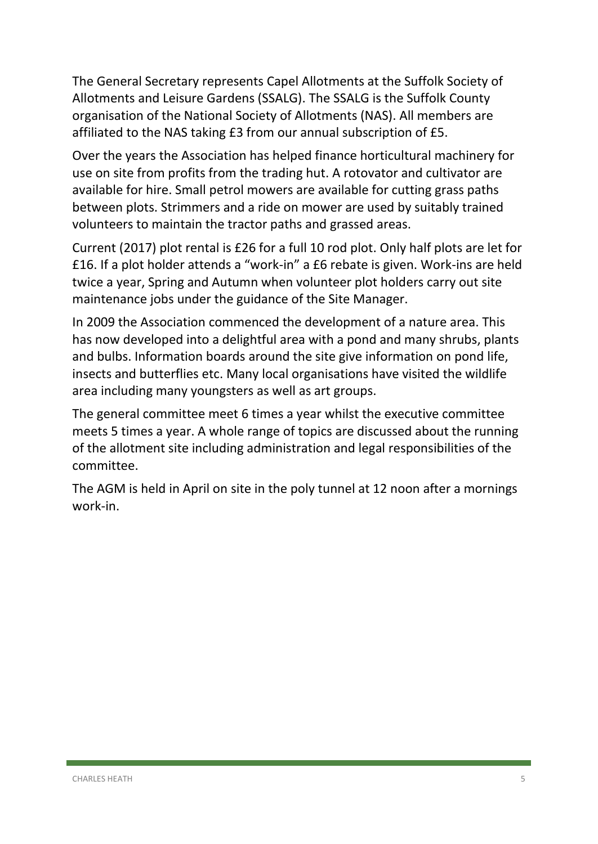The General Secretary represents Capel Allotments at the Suffolk Society of Allotments and Leisure Gardens (SSALG). The SSALG is the Suffolk County organisation of the National Society of Allotments (NAS). All members are affiliated to the NAS taking £3 from our annual subscription of £5.

Over the years the Association has helped finance horticultural machinery for use on site from profits from the trading hut. A rotovator and cultivator are available for hire. Small petrol mowers are available for cutting grass paths between plots. Strimmers and a ride on mower are used by suitably trained volunteers to maintain the tractor paths and grassed areas.

Current (2017) plot rental is £26 for a full 10 rod plot. Only half plots are let for £16. If a plot holder attends a "work-in" a £6 rebate is given. Work-ins are held twice a year, Spring and Autumn when volunteer plot holders carry out site maintenance jobs under the guidance of the Site Manager.

In 2009 the Association commenced the development of a nature area. This has now developed into a delightful area with a pond and many shrubs, plants and bulbs. Information boards around the site give information on pond life, insects and butterflies etc. Many local organisations have visited the wildlife area including many youngsters as well as art groups.

The general committee meet 6 times a year whilst the executive committee meets 5 times a year. A whole range of topics are discussed about the running of the allotment site including administration and legal responsibilities of the committee.

The AGM is held in April on site in the poly tunnel at 12 noon after a mornings work-in.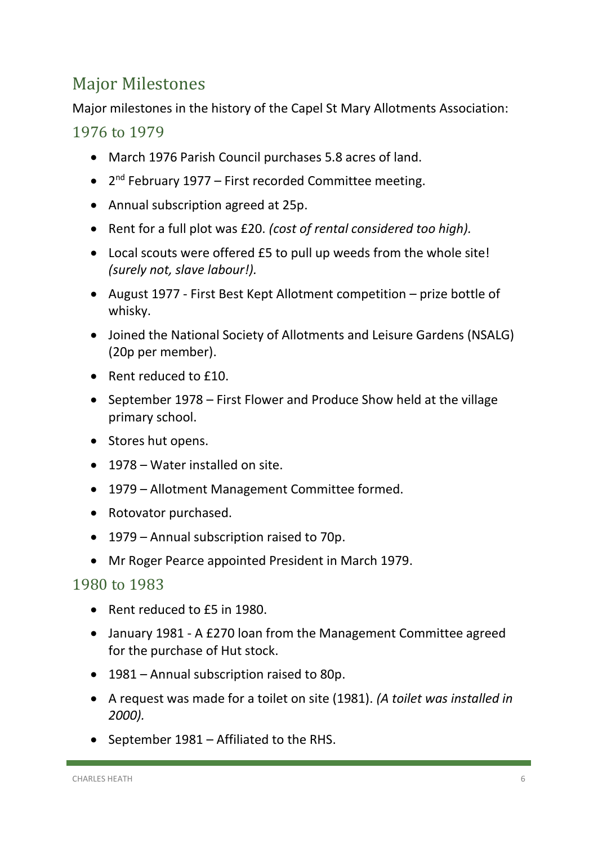## <span id="page-6-0"></span>Major Milestones

Major milestones in the history of the Capel St Mary Allotments Association:

#### 1976 to 1979

- March 1976 Parish Council purchases 5.8 acres of land.
- 2<sup>nd</sup> February 1977 First recorded Committee meeting.
- Annual subscription agreed at 25p.
- Rent for a full plot was £20. *(cost of rental considered too high).*
- Local scouts were offered £5 to pull up weeds from the whole site! *(surely not, slave labour!).*
- August 1977 First Best Kept Allotment competition prize bottle of whisky.
- Joined the National Society of Allotments and Leisure Gardens (NSALG) (20p per member).
- Rent reduced to £10.
- September 1978 First Flower and Produce Show held at the village primary school.
- Stores hut opens.
- 1978 Water installed on site.
- 1979 Allotment Management Committee formed.
- Rotovator purchased.
- 1979 Annual subscription raised to 70p.
- Mr Roger Pearce appointed President in March 1979.

- Rent reduced to £5 in 1980.
- January 1981 A £270 loan from the Management Committee agreed for the purchase of Hut stock.
- 1981 Annual subscription raised to 80p.
- A request was made for a toilet on site (1981). *(A toilet was installed in 2000).*
- September 1981 Affiliated to the RHS.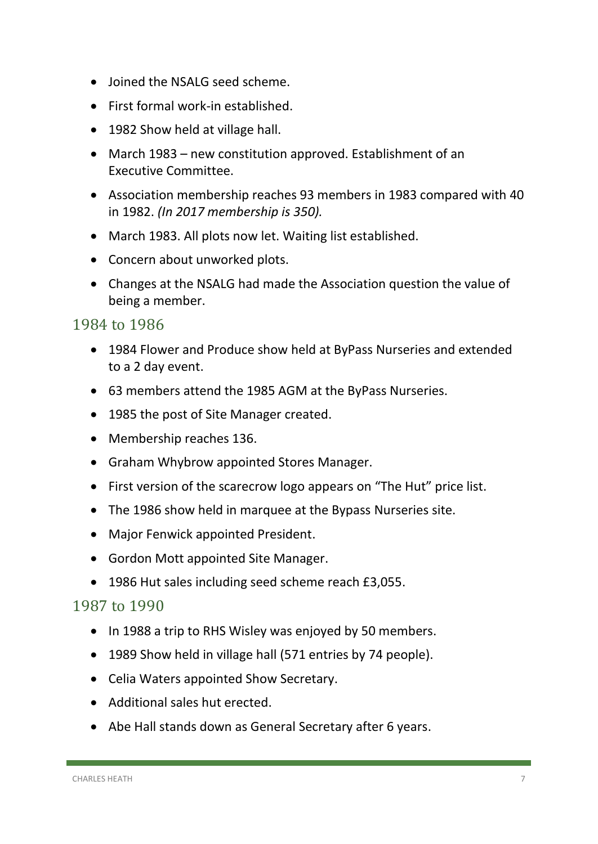- Joined the NSALG seed scheme.
- First formal work-in established.
- 1982 Show held at village hall.
- March 1983 new constitution approved. Establishment of an Executive Committee.
- Association membership reaches 93 members in 1983 compared with 40 in 1982. *(In 2017 membership is 350).*
- March 1983. All plots now let. Waiting list established.
- Concern about unworked plots.
- Changes at the NSALG had made the Association question the value of being a member.

#### 1984 to 1986

- 1984 Flower and Produce show held at ByPass Nurseries and extended to a 2 day event.
- 63 members attend the 1985 AGM at the ByPass Nurseries.
- 1985 the post of Site Manager created.
- Membership reaches 136.
- Graham Whybrow appointed Stores Manager.
- First version of the scarecrow logo appears on "The Hut" price list.
- The 1986 show held in marquee at the Bypass Nurseries site.
- Major Fenwick appointed President.
- Gordon Mott appointed Site Manager.
- 1986 Hut sales including seed scheme reach £3,055.

- In 1988 a trip to RHS Wisley was enjoyed by 50 members.
- 1989 Show held in village hall (571 entries by 74 people).
- Celia Waters appointed Show Secretary.
- Additional sales hut erected.
- Abe Hall stands down as General Secretary after 6 years.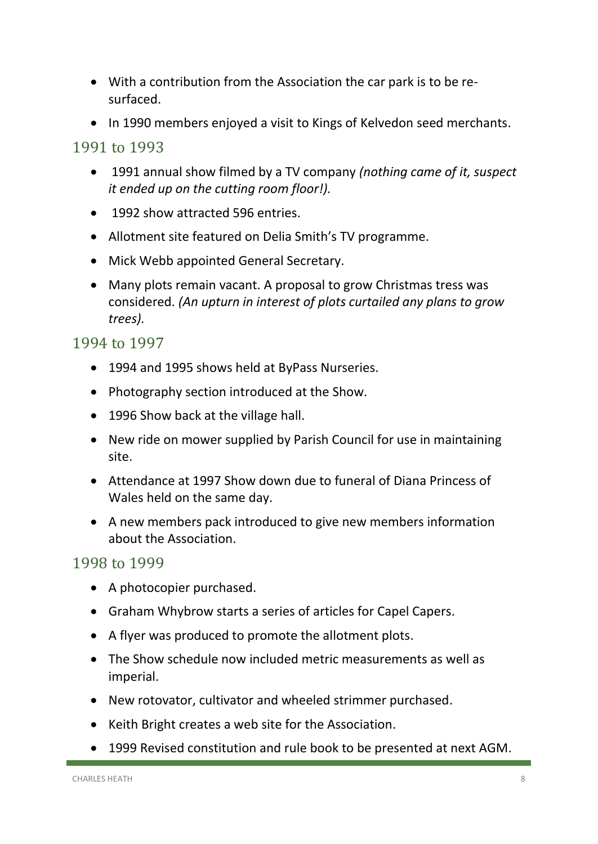- With a contribution from the Association the car park is to be resurfaced.
- In 1990 members enjoyed a visit to Kings of Kelvedon seed merchants.

#### 1991 to 1993

- 1991 annual show filmed by a TV company *(nothing came of it, suspect it ended up on the cutting room floor!).*
- 1992 show attracted 596 entries.
- Allotment site featured on Delia Smith's TV programme.
- Mick Webb appointed General Secretary.
- Many plots remain vacant. A proposal to grow Christmas tress was considered. *(An upturn in interest of plots curtailed any plans to grow trees).*

#### 1994 to 1997

- 1994 and 1995 shows held at ByPass Nurseries.
- Photography section introduced at the Show.
- 1996 Show back at the village hall.
- New ride on mower supplied by Parish Council for use in maintaining site.
- Attendance at 1997 Show down due to funeral of Diana Princess of Wales held on the same day.
- A new members pack introduced to give new members information about the Association.

- A photocopier purchased.
- Graham Whybrow starts a series of articles for Capel Capers.
- A flyer was produced to promote the allotment plots.
- The Show schedule now included metric measurements as well as imperial.
- New rotovator, cultivator and wheeled strimmer purchased.
- Keith Bright creates a web site for the Association.
- 1999 Revised constitution and rule book to be presented at next AGM.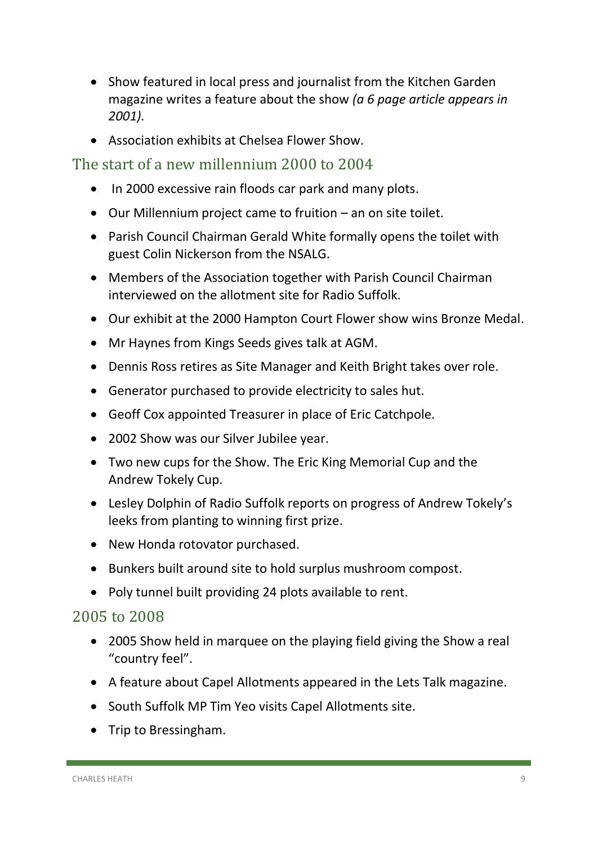- Show featured in local press and journalist from the Kitchen Garden magazine writes a feature about the show *(a 6 page article appears in 2001).*
- Association exhibits at Chelsea Flower Show.

#### The start of a new millennium 2000 to 2004

- In 2000 excessive rain floods car park and many plots.
- Our Millennium project came to fruition an on site toilet.
- Parish Council Chairman Gerald White formally opens the toilet with guest Colin Nickerson from the NSALG.
- Members of the Association together with Parish Council Chairman interviewed on the allotment site for Radio Suffolk.
- Our exhibit at the 2000 Hampton Court Flower show wins Bronze Medal.
- Mr Haynes from Kings Seeds gives talk at AGM.
- Dennis Ross retires as Site Manager and Keith Bright takes over role.
- Generator purchased to provide electricity to sales hut.
- Geoff Cox appointed Treasurer in place of Eric Catchpole.
- 2002 Show was our Silver Jubilee year.
- Two new cups for the Show. The Eric King Memorial Cup and the Andrew Tokely Cup.
- Lesley Dolphin of Radio Suffolk reports on progress of Andrew Tokely's leeks from planting to winning first prize.
- New Honda rotovator purchased.
- Bunkers built around site to hold surplus mushroom compost.
- Poly tunnel built providing 24 plots available to rent.

- 2005 Show held in marquee on the playing field giving the Show a real "country feel".
- A feature about Capel Allotments appeared in the Lets Talk magazine.
- South Suffolk MP Tim Yeo visits Capel Allotments site.
- Trip to Bressingham.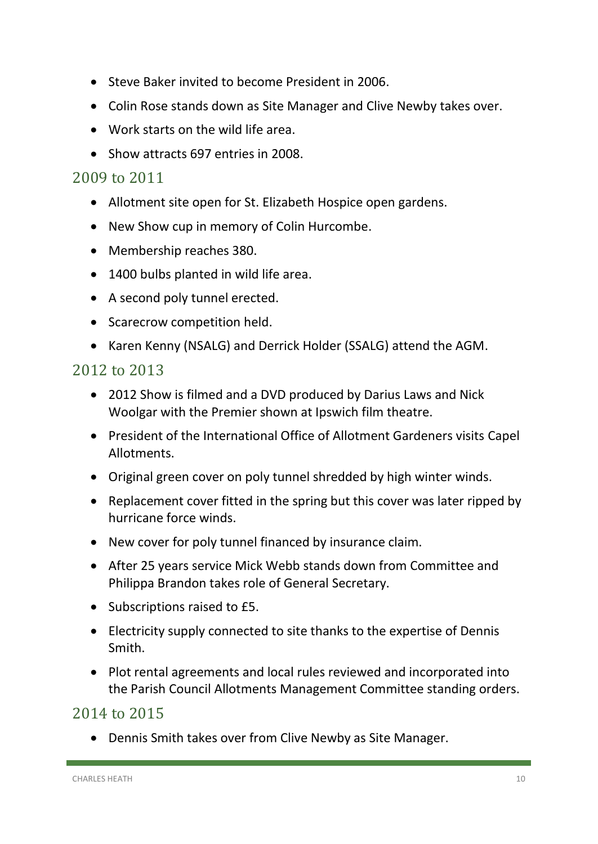- Steve Baker invited to become President in 2006.
- Colin Rose stands down as Site Manager and Clive Newby takes over.
- Work starts on the wild life area.
- Show attracts 697 entries in 2008.

#### 2009 to 2011

- Allotment site open for St. Elizabeth Hospice open gardens.
- New Show cup in memory of Colin Hurcombe.
- Membership reaches 380.
- 1400 bulbs planted in wild life area.
- A second poly tunnel erected.
- Scarecrow competition held.
- Karen Kenny (NSALG) and Derrick Holder (SSALG) attend the AGM.

#### 2012 to 2013

- 2012 Show is filmed and a DVD produced by Darius Laws and Nick Woolgar with the Premier shown at Ipswich film theatre.
- President of the International Office of Allotment Gardeners visits Capel Allotments.
- Original green cover on poly tunnel shredded by high winter winds.
- Replacement cover fitted in the spring but this cover was later ripped by hurricane force winds.
- New cover for poly tunnel financed by insurance claim.
- After 25 years service Mick Webb stands down from Committee and Philippa Brandon takes role of General Secretary.
- Subscriptions raised to £5.
- Electricity supply connected to site thanks to the expertise of Dennis Smith.
- Plot rental agreements and local rules reviewed and incorporated into the Parish Council Allotments Management Committee standing orders.

#### 2014 to 2015

• Dennis Smith takes over from Clive Newby as Site Manager.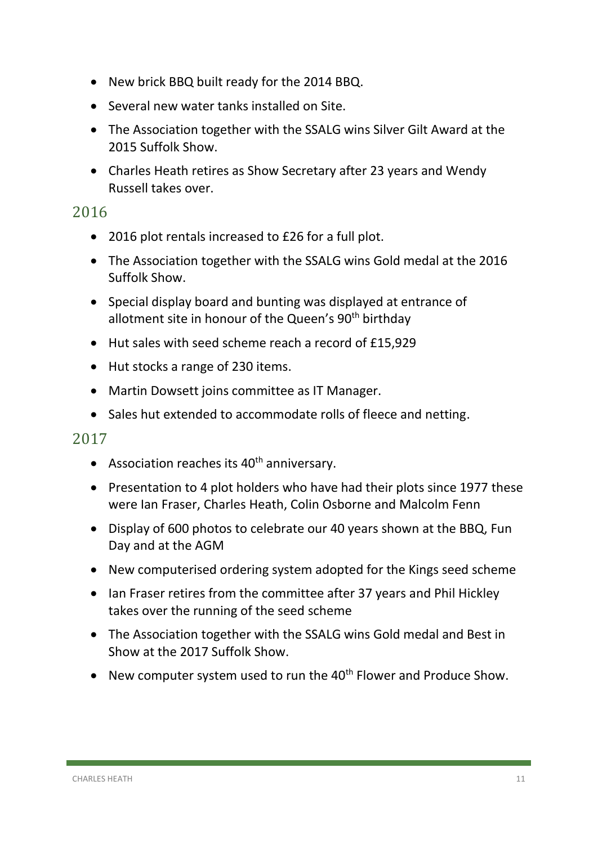- New brick BBQ built ready for the 2014 BBQ.
- Several new water tanks installed on Site.
- The Association together with the SSALG wins Silver Gilt Award at the 2015 Suffolk Show.
- Charles Heath retires as Show Secretary after 23 years and Wendy Russell takes over.

#### 2016

- 2016 plot rentals increased to £26 for a full plot.
- The Association together with the SSALG wins Gold medal at the 2016 Suffolk Show.
- Special display board and bunting was displayed at entrance of allotment site in honour of the Queen's 90<sup>th</sup> birthday
- Hut sales with seed scheme reach a record of £15,929
- Hut stocks a range of 230 items.
- Martin Dowsett joins committee as IT Manager.
- Sales hut extended to accommodate rolls of fleece and netting.

#### 2017

- Association reaches its  $40<sup>th</sup>$  anniversary.
- Presentation to 4 plot holders who have had their plots since 1977 these were Ian Fraser, Charles Heath, Colin Osborne and Malcolm Fenn
- Display of 600 photos to celebrate our 40 years shown at the BBQ, Fun Day and at the AGM
- New computerised ordering system adopted for the Kings seed scheme
- Ian Fraser retires from the committee after 37 years and Phil Hickley takes over the running of the seed scheme
- The Association together with the SSALG wins Gold medal and Best in Show at the 2017 Suffolk Show.
- New computer system used to run the  $40<sup>th</sup>$  Flower and Produce Show.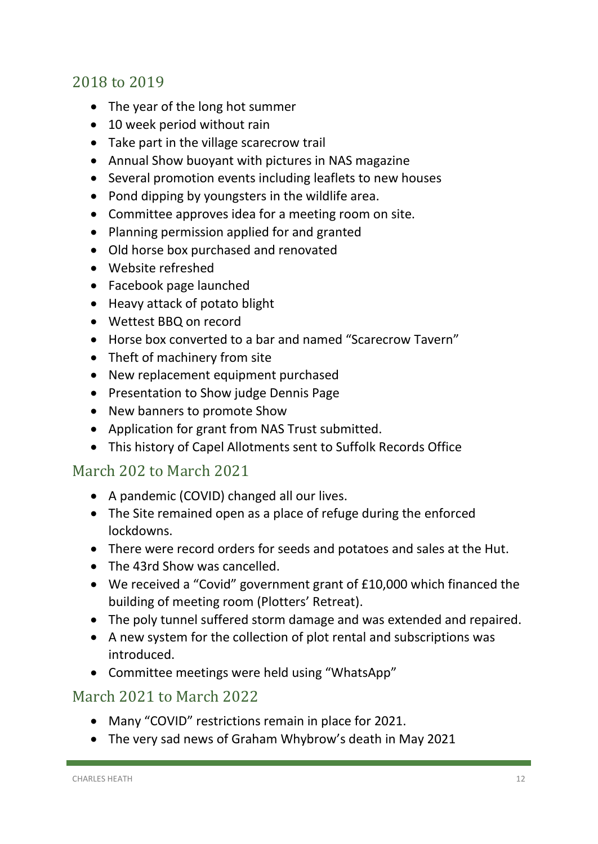#### 2018 to 2019

- The year of the long hot summer
- 10 week period without rain
- Take part in the village scarecrow trail
- Annual Show buoyant with pictures in NAS magazine
- Several promotion events including leaflets to new houses
- Pond dipping by youngsters in the wildlife area.
- Committee approves idea for a meeting room on site.
- Planning permission applied for and granted
- Old horse box purchased and renovated
- Website refreshed
- Facebook page launched
- Heavy attack of potato blight
- Wettest BBQ on record
- Horse box converted to a bar and named "Scarecrow Tavern"
- Theft of machinery from site
- New replacement equipment purchased
- Presentation to Show judge Dennis Page
- New banners to promote Show
- Application for grant from NAS Trust submitted.
- This history of Capel Allotments sent to Suffolk Records Office

#### March 202 to March 2021

- A pandemic (COVID) changed all our lives.
- The Site remained open as a place of refuge during the enforced lockdowns.
- There were record orders for seeds and potatoes and sales at the Hut.
- The 43rd Show was cancelled.
- We received a "Covid" government grant of £10,000 which financed the building of meeting room (Plotters' Retreat).
- The poly tunnel suffered storm damage and was extended and repaired.
- A new system for the collection of plot rental and subscriptions was introduced.
- Committee meetings were held using "WhatsApp"

#### March 2021 to March 2022

- Many "COVID" restrictions remain in place for 2021.
- The very sad news of Graham Whybrow's death in May 2021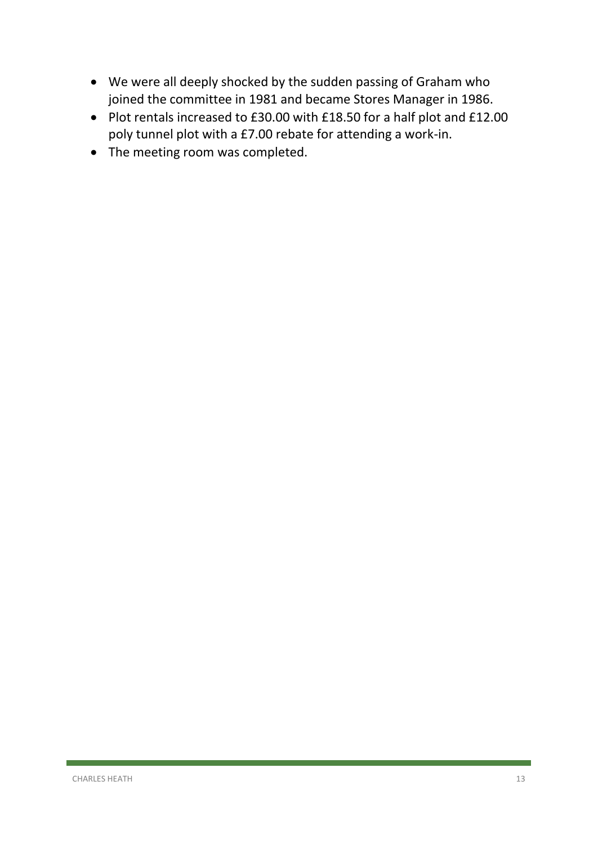- We were all deeply shocked by the sudden passing of Graham who joined the committee in 1981 and became Stores Manager in 1986.
- Plot rentals increased to £30.00 with £18.50 for a half plot and £12.00 poly tunnel plot with a £7.00 rebate for attending a work-in.
- The meeting room was completed.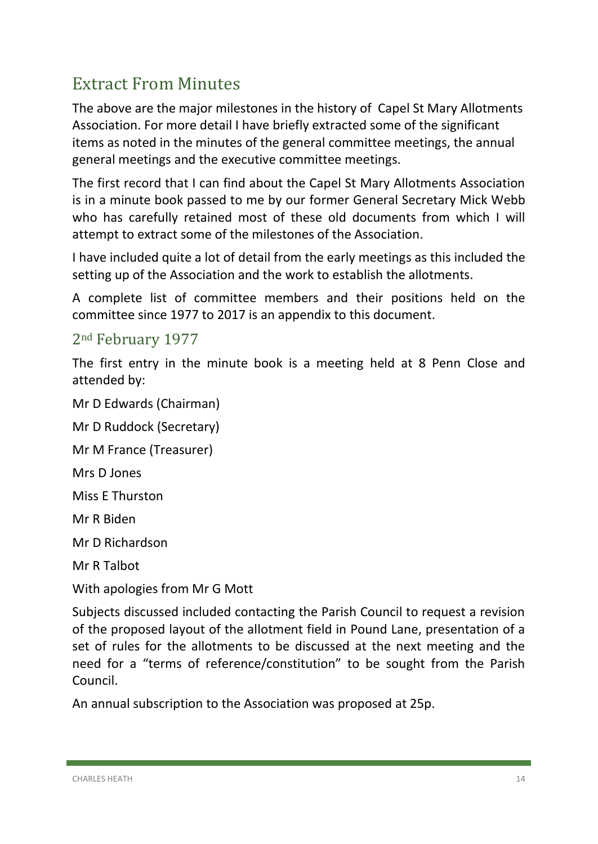## <span id="page-14-0"></span>Extract From Minutes

The above are the major milestones in the history of Capel St Mary Allotments Association. For more detail I have briefly extracted some of the significant items as noted in the minutes of the general committee meetings, the annual general meetings and the executive committee meetings.

The first record that I can find about the Capel St Mary Allotments Association is in a minute book passed to me by our former General Secretary Mick Webb who has carefully retained most of these old documents from which I will attempt to extract some of the milestones of the Association.

I have included quite a lot of detail from the early meetings as this included the setting up of the Association and the work to establish the allotments.

A complete list of committee members and their positions held on the committee since 1977 to 2017 is an appendix to this document.

#### 2nd February 1977

The first entry in the minute book is a meeting held at 8 Penn Close and attended by:

Mr D Edwards (Chairman)

Mr D Ruddock (Secretary)

Mr M France (Treasurer)

Mrs D Jones

Miss E Thurston

Mr R Biden

Mr D Richardson

Mr R Talbot

With apologies from Mr G Mott

Subjects discussed included contacting the Parish Council to request a revision of the proposed layout of the allotment field in Pound Lane, presentation of a set of rules for the allotments to be discussed at the next meeting and the need for a "terms of reference/constitution" to be sought from the Parish Council.

An annual subscription to the Association was proposed at 25p.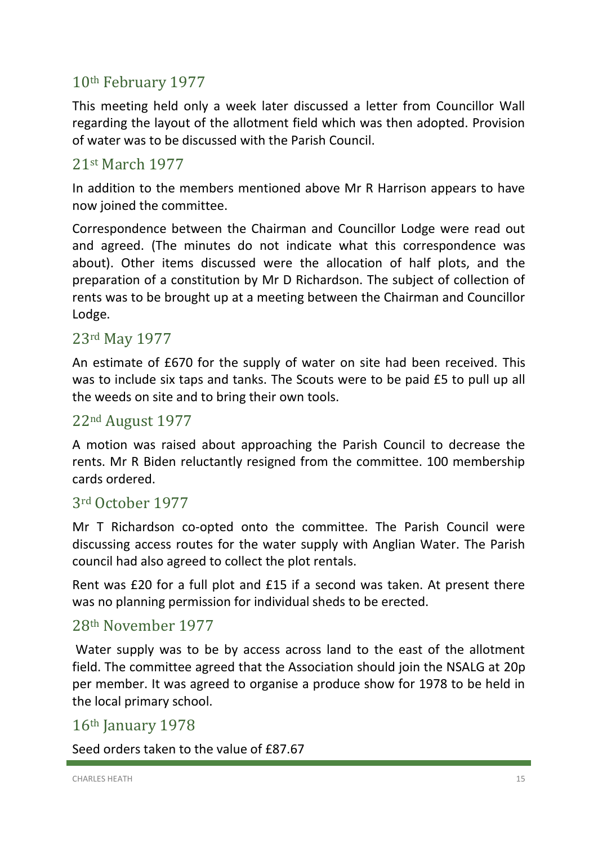## 10th February 1977

This meeting held only a week later discussed a letter from Councillor Wall regarding the layout of the allotment field which was then adopted. Provision of water was to be discussed with the Parish Council.

#### 21st March 1977

In addition to the members mentioned above Mr R Harrison appears to have now joined the committee.

Correspondence between the Chairman and Councillor Lodge were read out and agreed. (The minutes do not indicate what this correspondence was about). Other items discussed were the allocation of half plots, and the preparation of a constitution by Mr D Richardson. The subject of collection of rents was to be brought up at a meeting between the Chairman and Councillor Lodge.

#### 23rd May 1977

An estimate of £670 for the supply of water on site had been received. This was to include six taps and tanks. The Scouts were to be paid £5 to pull up all the weeds on site and to bring their own tools.

#### 22nd August 1977

A motion was raised about approaching the Parish Council to decrease the rents. Mr R Biden reluctantly resigned from the committee. 100 membership cards ordered.

#### 3rd October 1977

Mr T Richardson co-opted onto the committee. The Parish Council were discussing access routes for the water supply with Anglian Water. The Parish council had also agreed to collect the plot rentals.

Rent was £20 for a full plot and £15 if a second was taken. At present there was no planning permission for individual sheds to be erected.

#### 28th November 1977

Water supply was to be by access across land to the east of the allotment field. The committee agreed that the Association should join the NSALG at 20p per member. It was agreed to organise a produce show for 1978 to be held in the local primary school.

#### 16th January 1978

Seed orders taken to the value of £87.67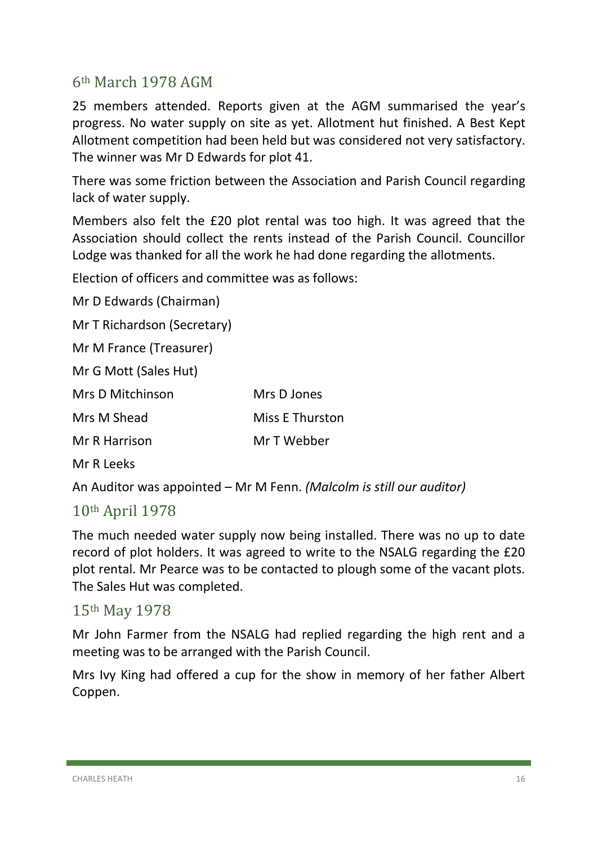#### 6th March 1978 AGM

25 members attended. Reports given at the AGM summarised the year's progress. No water supply on site as yet. Allotment hut finished. A Best Kept Allotment competition had been held but was considered not very satisfactory. The winner was Mr D Edwards for plot 41.

There was some friction between the Association and Parish Council regarding lack of water supply.

Members also felt the £20 plot rental was too high. It was agreed that the Association should collect the rents instead of the Parish Council. Councillor Lodge was thanked for all the work he had done regarding the allotments.

Election of officers and committee was as follows:

Mr D Edwards (Chairman) Mr T Richardson (Secretary)

Mr M France (Treasurer)

Mr G Mott (Sales Hut)

| Mrs D Mitchinson | Mrs D Jones            |
|------------------|------------------------|
| Mrs M Shead      | <b>Miss E Thurston</b> |
| Mr R Harrison    | Mr T Webber            |

Mr R Leeks

An Auditor was appointed – Mr M Fenn. *(Malcolm is still our auditor)*

#### 10th April 1978

The much needed water supply now being installed. There was no up to date record of plot holders. It was agreed to write to the NSALG regarding the £20 plot rental. Mr Pearce was to be contacted to plough some of the vacant plots. The Sales Hut was completed.

#### 15th May 1978

Mr John Farmer from the NSALG had replied regarding the high rent and a meeting was to be arranged with the Parish Council.

Mrs Ivy King had offered a cup for the show in memory of her father Albert Coppen.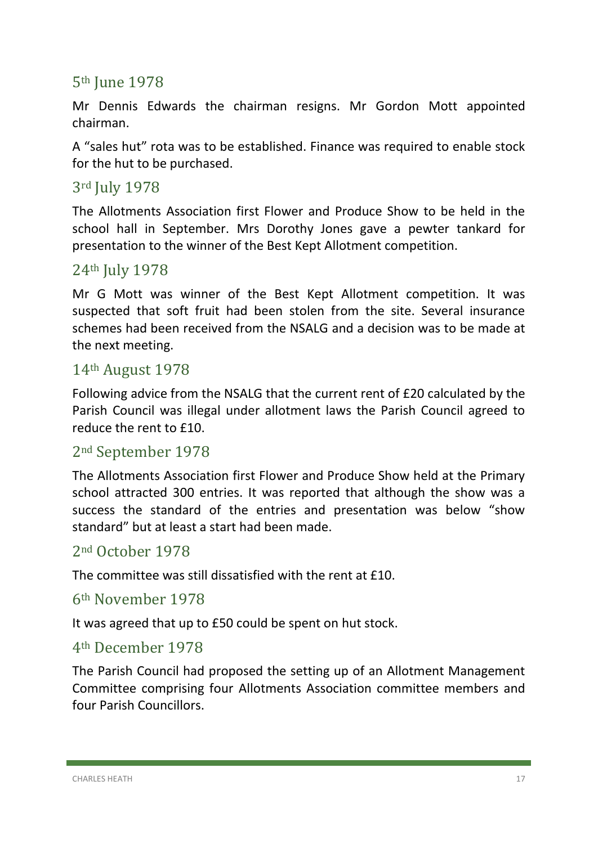#### 5th June 1978

Mr Dennis Edwards the chairman resigns. Mr Gordon Mott appointed chairman.

A "sales hut" rota was to be established. Finance was required to enable stock for the hut to be purchased.

#### 3rd July 1978

The Allotments Association first Flower and Produce Show to be held in the school hall in September. Mrs Dorothy Jones gave a pewter tankard for presentation to the winner of the Best Kept Allotment competition.

#### 24th July 1978

Mr G Mott was winner of the Best Kept Allotment competition. It was suspected that soft fruit had been stolen from the site. Several insurance schemes had been received from the NSALG and a decision was to be made at the next meeting.

#### 14th August 1978

Following advice from the NSALG that the current rent of £20 calculated by the Parish Council was illegal under allotment laws the Parish Council agreed to reduce the rent to £10.

#### 2nd September 1978

The Allotments Association first Flower and Produce Show held at the Primary school attracted 300 entries. It was reported that although the show was a success the standard of the entries and presentation was below "show standard" but at least a start had been made.

#### 2nd October 1978

The committee was still dissatisfied with the rent at £10.

#### 6th November 1978

It was agreed that up to £50 could be spent on hut stock.

#### 4th December 1978

The Parish Council had proposed the setting up of an Allotment Management Committee comprising four Allotments Association committee members and four Parish Councillors.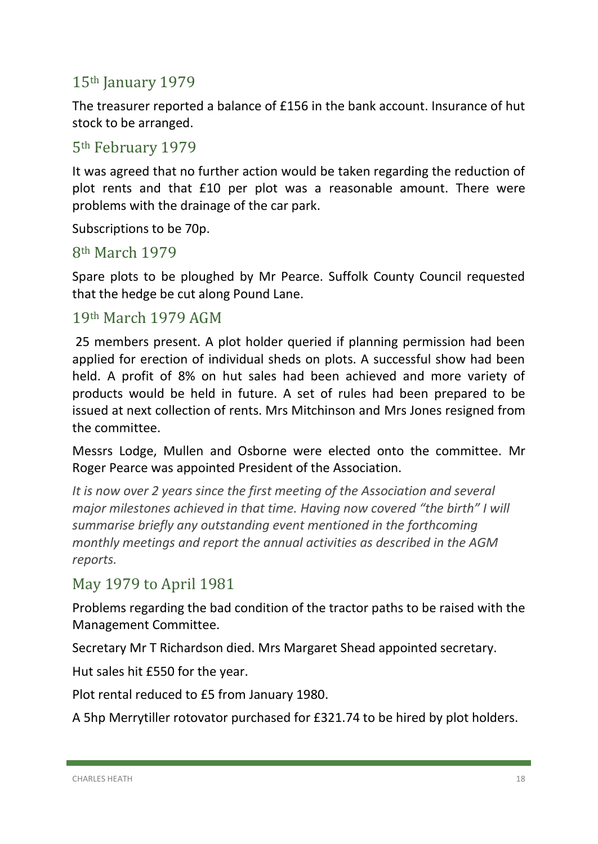## 15th January 1979

The treasurer reported a balance of £156 in the bank account. Insurance of hut stock to be arranged.

#### 5th February 1979

It was agreed that no further action would be taken regarding the reduction of plot rents and that £10 per plot was a reasonable amount. There were problems with the drainage of the car park.

Subscriptions to be 70p.

#### 8th March 1979

Spare plots to be ploughed by Mr Pearce. Suffolk County Council requested that the hedge be cut along Pound Lane.

#### 19th March 1979 AGM

25 members present. A plot holder queried if planning permission had been applied for erection of individual sheds on plots. A successful show had been held. A profit of 8% on hut sales had been achieved and more variety of products would be held in future. A set of rules had been prepared to be issued at next collection of rents. Mrs Mitchinson and Mrs Jones resigned from the committee.

Messrs Lodge, Mullen and Osborne were elected onto the committee. Mr Roger Pearce was appointed President of the Association.

*It is now over 2 years since the first meeting of the Association and several major milestones achieved in that time. Having now covered "the birth" I will summarise briefly any outstanding event mentioned in the forthcoming monthly meetings and report the annual activities as described in the AGM reports.*

#### May 1979 to April 1981

Problems regarding the bad condition of the tractor paths to be raised with the Management Committee.

Secretary Mr T Richardson died. Mrs Margaret Shead appointed secretary.

Hut sales hit £550 for the year.

Plot rental reduced to £5 from January 1980.

A 5hp Merrytiller rotovator purchased for £321.74 to be hired by plot holders.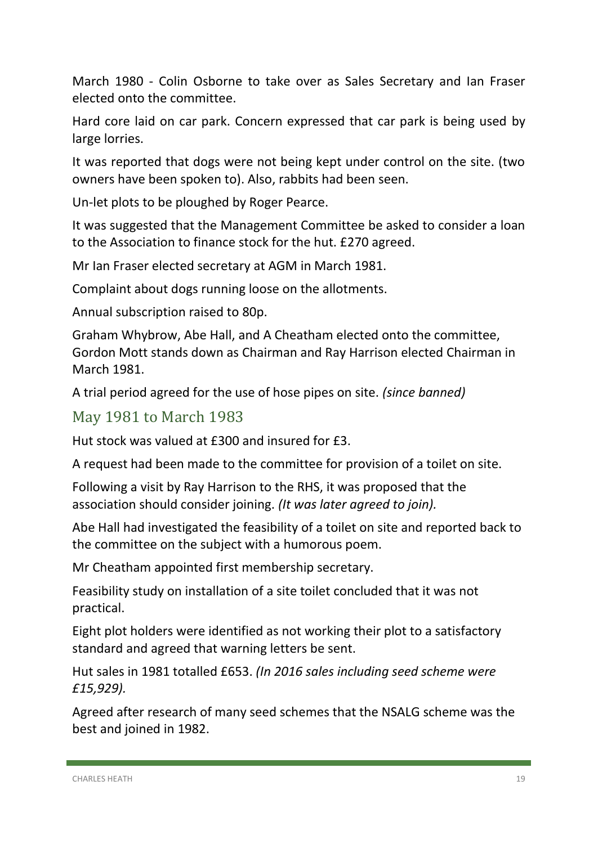March 1980 - Colin Osborne to take over as Sales Secretary and Ian Fraser elected onto the committee.

Hard core laid on car park. Concern expressed that car park is being used by large lorries.

It was reported that dogs were not being kept under control on the site. (two owners have been spoken to). Also, rabbits had been seen.

Un-let plots to be ploughed by Roger Pearce.

It was suggested that the Management Committee be asked to consider a loan to the Association to finance stock for the hut. £270 agreed.

Mr Ian Fraser elected secretary at AGM in March 1981.

Complaint about dogs running loose on the allotments.

Annual subscription raised to 80p.

Graham Whybrow, Abe Hall, and A Cheatham elected onto the committee, Gordon Mott stands down as Chairman and Ray Harrison elected Chairman in March 1981.

A trial period agreed for the use of hose pipes on site. *(since banned)*

#### May 1981 to March 1983

Hut stock was valued at £300 and insured for £3.

A request had been made to the committee for provision of a toilet on site.

Following a visit by Ray Harrison to the RHS, it was proposed that the association should consider joining. *(It was later agreed to join).*

Abe Hall had investigated the feasibility of a toilet on site and reported back to the committee on the subject with a humorous poem.

Mr Cheatham appointed first membership secretary.

Feasibility study on installation of a site toilet concluded that it was not practical.

Eight plot holders were identified as not working their plot to a satisfactory standard and agreed that warning letters be sent.

Hut sales in 1981 totalled £653. *(In 2016 sales including seed scheme were £15,929).*

Agreed after research of many seed schemes that the NSALG scheme was the best and joined in 1982.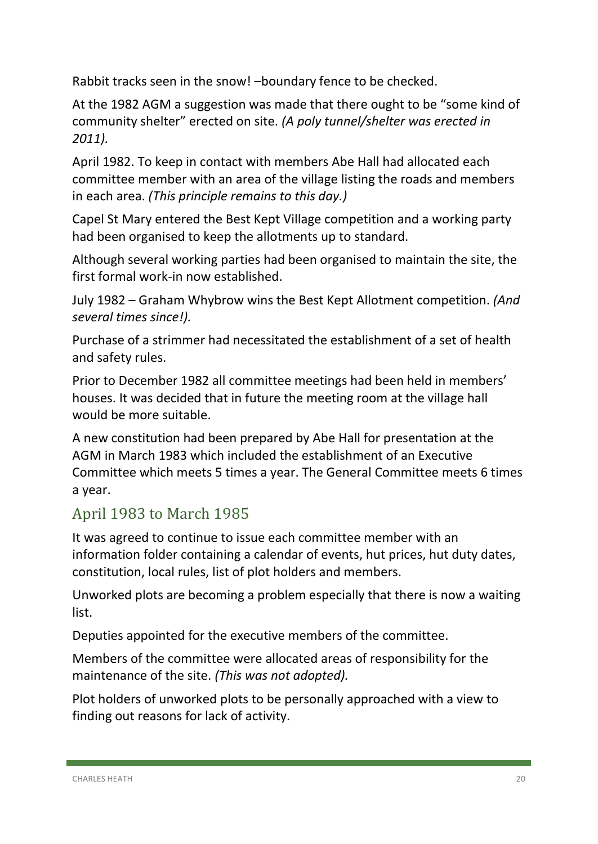Rabbit tracks seen in the snow! –boundary fence to be checked.

At the 1982 AGM a suggestion was made that there ought to be "some kind of community shelter" erected on site. *(A poly tunnel/shelter was erected in 2011).*

April 1982. To keep in contact with members Abe Hall had allocated each committee member with an area of the village listing the roads and members in each area. *(This principle remains to this day.)*

Capel St Mary entered the Best Kept Village competition and a working party had been organised to keep the allotments up to standard.

Although several working parties had been organised to maintain the site, the first formal work-in now established.

July 1982 – Graham Whybrow wins the Best Kept Allotment competition. *(And several times since!).*

Purchase of a strimmer had necessitated the establishment of a set of health and safety rules.

Prior to December 1982 all committee meetings had been held in members' houses. It was decided that in future the meeting room at the village hall would be more suitable.

A new constitution had been prepared by Abe Hall for presentation at the AGM in March 1983 which included the establishment of an Executive Committee which meets 5 times a year. The General Committee meets 6 times a year.

## April 1983 to March 1985

It was agreed to continue to issue each committee member with an information folder containing a calendar of events, hut prices, hut duty dates, constitution, local rules, list of plot holders and members.

Unworked plots are becoming a problem especially that there is now a waiting list.

Deputies appointed for the executive members of the committee.

Members of the committee were allocated areas of responsibility for the maintenance of the site. *(This was not adopted).*

Plot holders of unworked plots to be personally approached with a view to finding out reasons for lack of activity.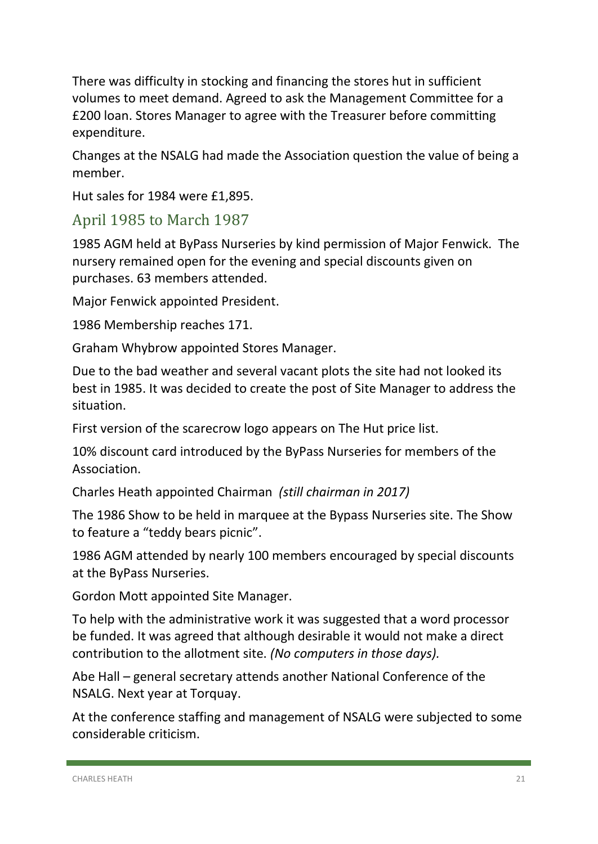There was difficulty in stocking and financing the stores hut in sufficient volumes to meet demand. Agreed to ask the Management Committee for a £200 loan. Stores Manager to agree with the Treasurer before committing expenditure.

Changes at the NSALG had made the Association question the value of being a member.

Hut sales for 1984 were £1,895.

#### April 1985 to March 1987

1985 AGM held at ByPass Nurseries by kind permission of Major Fenwick. The nursery remained open for the evening and special discounts given on purchases. 63 members attended.

Major Fenwick appointed President.

1986 Membership reaches 171.

Graham Whybrow appointed Stores Manager.

Due to the bad weather and several vacant plots the site had not looked its best in 1985. It was decided to create the post of Site Manager to address the situation.

First version of the scarecrow logo appears on The Hut price list.

10% discount card introduced by the ByPass Nurseries for members of the Association.

Charles Heath appointed Chairman *(still chairman in 2017)*

The 1986 Show to be held in marquee at the Bypass Nurseries site. The Show to feature a "teddy bears picnic".

1986 AGM attended by nearly 100 members encouraged by special discounts at the ByPass Nurseries.

Gordon Mott appointed Site Manager.

To help with the administrative work it was suggested that a word processor be funded. It was agreed that although desirable it would not make a direct contribution to the allotment site. *(No computers in those days).*

Abe Hall – general secretary attends another National Conference of the NSALG. Next year at Torquay.

At the conference staffing and management of NSALG were subjected to some considerable criticism.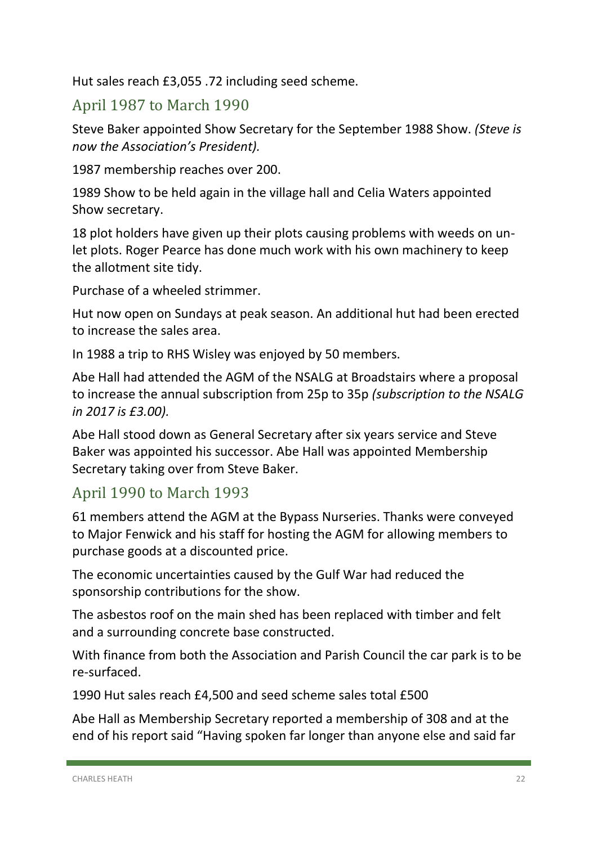Hut sales reach £3,055 .72 including seed scheme.

## April 1987 to March 1990

Steve Baker appointed Show Secretary for the September 1988 Show. *(Steve is now the Association's President).*

1987 membership reaches over 200.

1989 Show to be held again in the village hall and Celia Waters appointed Show secretary.

18 plot holders have given up their plots causing problems with weeds on unlet plots. Roger Pearce has done much work with his own machinery to keep the allotment site tidy.

Purchase of a wheeled strimmer.

Hut now open on Sundays at peak season. An additional hut had been erected to increase the sales area.

In 1988 a trip to RHS Wisley was enjoyed by 50 members.

Abe Hall had attended the AGM of the NSALG at Broadstairs where a proposal to increase the annual subscription from 25p to 35p *(subscription to the NSALG in 2017 is £3.00).*

Abe Hall stood down as General Secretary after six years service and Steve Baker was appointed his successor. Abe Hall was appointed Membership Secretary taking over from Steve Baker.

## April 1990 to March 1993

61 members attend the AGM at the Bypass Nurseries. Thanks were conveyed to Major Fenwick and his staff for hosting the AGM for allowing members to purchase goods at a discounted price.

The economic uncertainties caused by the Gulf War had reduced the sponsorship contributions for the show.

The asbestos roof on the main shed has been replaced with timber and felt and a surrounding concrete base constructed.

With finance from both the Association and Parish Council the car park is to be re-surfaced.

1990 Hut sales reach £4,500 and seed scheme sales total £500

Abe Hall as Membership Secretary reported a membership of 308 and at the end of his report said "Having spoken far longer than anyone else and said far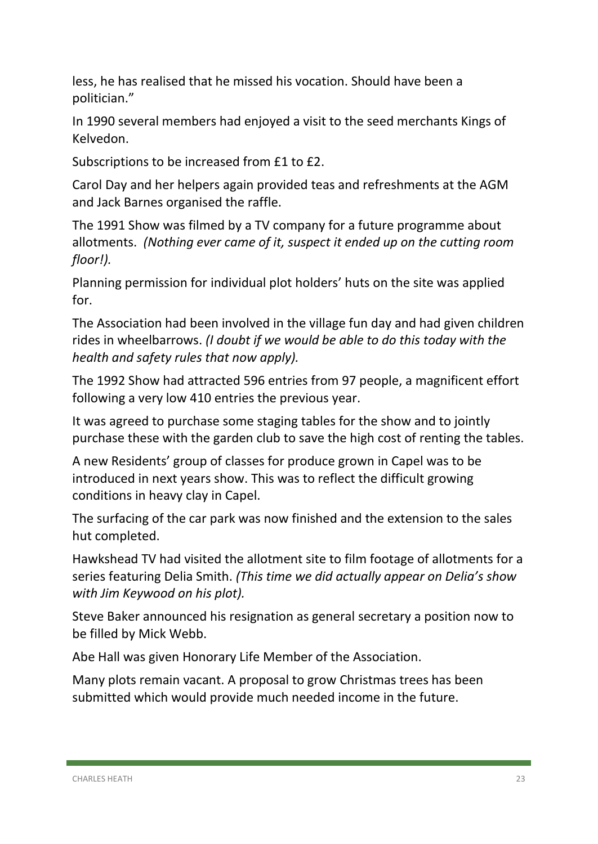less, he has realised that he missed his vocation. Should have been a politician."

In 1990 several members had enjoyed a visit to the seed merchants Kings of Kelvedon.

Subscriptions to be increased from £1 to £2.

Carol Day and her helpers again provided teas and refreshments at the AGM and Jack Barnes organised the raffle.

The 1991 Show was filmed by a TV company for a future programme about allotments. *(Nothing ever came of it, suspect it ended up on the cutting room floor!).*

Planning permission for individual plot holders' huts on the site was applied for.

The Association had been involved in the village fun day and had given children rides in wheelbarrows. *(I doubt if we would be able to do this today with the health and safety rules that now apply).*

The 1992 Show had attracted 596 entries from 97 people, a magnificent effort following a very low 410 entries the previous year.

It was agreed to purchase some staging tables for the show and to jointly purchase these with the garden club to save the high cost of renting the tables.

A new Residents' group of classes for produce grown in Capel was to be introduced in next years show. This was to reflect the difficult growing conditions in heavy clay in Capel.

The surfacing of the car park was now finished and the extension to the sales hut completed.

Hawkshead TV had visited the allotment site to film footage of allotments for a series featuring Delia Smith. *(This time we did actually appear on Delia's show with Jim Keywood on his plot).*

Steve Baker announced his resignation as general secretary a position now to be filled by Mick Webb.

Abe Hall was given Honorary Life Member of the Association.

Many plots remain vacant. A proposal to grow Christmas trees has been submitted which would provide much needed income in the future.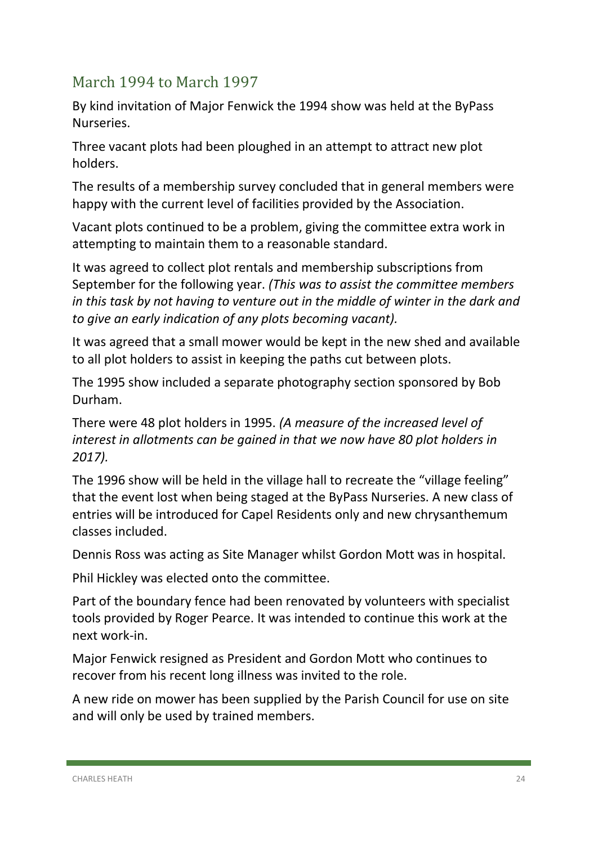## March 1994 to March 1997

By kind invitation of Major Fenwick the 1994 show was held at the ByPass Nurseries.

Three vacant plots had been ploughed in an attempt to attract new plot holders.

The results of a membership survey concluded that in general members were happy with the current level of facilities provided by the Association.

Vacant plots continued to be a problem, giving the committee extra work in attempting to maintain them to a reasonable standard.

It was agreed to collect plot rentals and membership subscriptions from September for the following year. *(This was to assist the committee members in this task by not having to venture out in the middle of winter in the dark and to give an early indication of any plots becoming vacant).*

It was agreed that a small mower would be kept in the new shed and available to all plot holders to assist in keeping the paths cut between plots.

The 1995 show included a separate photography section sponsored by Bob Durham.

There were 48 plot holders in 1995. *(A measure of the increased level of interest in allotments can be gained in that we now have 80 plot holders in 2017).*

The 1996 show will be held in the village hall to recreate the "village feeling" that the event lost when being staged at the ByPass Nurseries. A new class of entries will be introduced for Capel Residents only and new chrysanthemum classes included.

Dennis Ross was acting as Site Manager whilst Gordon Mott was in hospital.

Phil Hickley was elected onto the committee.

Part of the boundary fence had been renovated by volunteers with specialist tools provided by Roger Pearce. It was intended to continue this work at the next work-in.

Major Fenwick resigned as President and Gordon Mott who continues to recover from his recent long illness was invited to the role.

A new ride on mower has been supplied by the Parish Council for use on site and will only be used by trained members.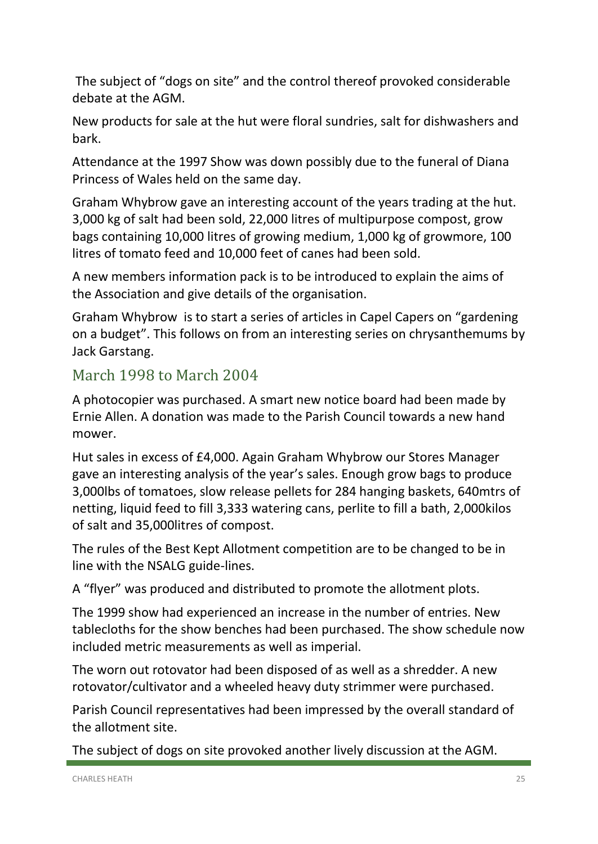The subject of "dogs on site" and the control thereof provoked considerable debate at the AGM.

New products for sale at the hut were floral sundries, salt for dishwashers and bark.

Attendance at the 1997 Show was down possibly due to the funeral of Diana Princess of Wales held on the same day.

Graham Whybrow gave an interesting account of the years trading at the hut. 3,000 kg of salt had been sold, 22,000 litres of multipurpose compost, grow bags containing 10,000 litres of growing medium, 1,000 kg of growmore, 100 litres of tomato feed and 10,000 feet of canes had been sold.

A new members information pack is to be introduced to explain the aims of the Association and give details of the organisation.

Graham Whybrow is to start a series of articles in Capel Capers on "gardening on a budget". This follows on from an interesting series on chrysanthemums by Jack Garstang.

#### March 1998 to March 2004

A photocopier was purchased. A smart new notice board had been made by Ernie Allen. A donation was made to the Parish Council towards a new hand mower.

Hut sales in excess of £4,000. Again Graham Whybrow our Stores Manager gave an interesting analysis of the year's sales. Enough grow bags to produce 3,000lbs of tomatoes, slow release pellets for 284 hanging baskets, 640mtrs of netting, liquid feed to fill 3,333 watering cans, perlite to fill a bath, 2,000kilos of salt and 35,000litres of compost.

The rules of the Best Kept Allotment competition are to be changed to be in line with the NSALG guide-lines.

A "flyer" was produced and distributed to promote the allotment plots.

The 1999 show had experienced an increase in the number of entries. New tablecloths for the show benches had been purchased. The show schedule now included metric measurements as well as imperial.

The worn out rotovator had been disposed of as well as a shredder. A new rotovator/cultivator and a wheeled heavy duty strimmer were purchased.

Parish Council representatives had been impressed by the overall standard of the allotment site.

The subject of dogs on site provoked another lively discussion at the AGM.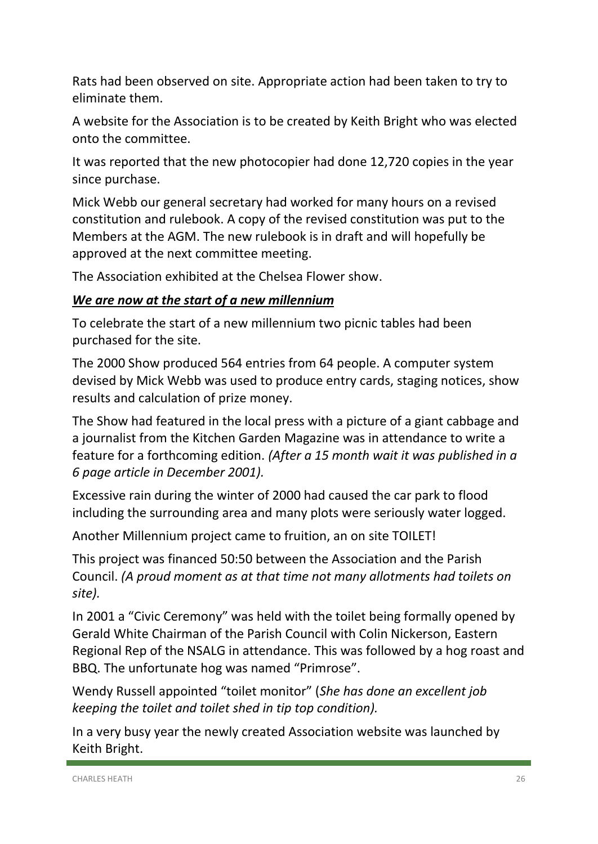Rats had been observed on site. Appropriate action had been taken to try to eliminate them.

A website for the Association is to be created by Keith Bright who was elected onto the committee.

It was reported that the new photocopier had done 12,720 copies in the year since purchase.

Mick Webb our general secretary had worked for many hours on a revised constitution and rulebook. A copy of the revised constitution was put to the Members at the AGM. The new rulebook is in draft and will hopefully be approved at the next committee meeting.

The Association exhibited at the Chelsea Flower show.

#### *We are now at the start of a new millennium*

To celebrate the start of a new millennium two picnic tables had been purchased for the site.

The 2000 Show produced 564 entries from 64 people. A computer system devised by Mick Webb was used to produce entry cards, staging notices, show results and calculation of prize money.

The Show had featured in the local press with a picture of a giant cabbage and a journalist from the Kitchen Garden Magazine was in attendance to write a feature for a forthcoming edition. *(After a 15 month wait it was published in a 6 page article in December 2001).* 

Excessive rain during the winter of 2000 had caused the car park to flood including the surrounding area and many plots were seriously water logged.

Another Millennium project came to fruition, an on site TOILET!

This project was financed 50:50 between the Association and the Parish Council. *(A proud moment as at that time not many allotments had toilets on site).*

In 2001 a "Civic Ceremony" was held with the toilet being formally opened by Gerald White Chairman of the Parish Council with Colin Nickerson, Eastern Regional Rep of the NSALG in attendance. This was followed by a hog roast and BBQ. The unfortunate hog was named "Primrose".

Wendy Russell appointed "toilet monitor" (*She has done an excellent job keeping the toilet and toilet shed in tip top condition).*

In a very busy year the newly created Association website was launched by Keith Bright.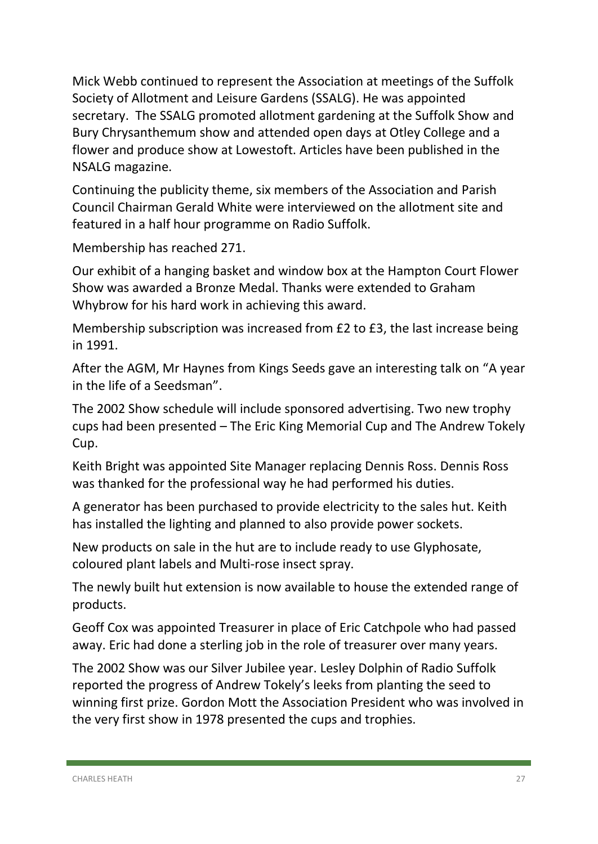Mick Webb continued to represent the Association at meetings of the Suffolk Society of Allotment and Leisure Gardens (SSALG). He was appointed secretary. The SSALG promoted allotment gardening at the Suffolk Show and Bury Chrysanthemum show and attended open days at Otley College and a flower and produce show at Lowestoft. Articles have been published in the NSALG magazine.

Continuing the publicity theme, six members of the Association and Parish Council Chairman Gerald White were interviewed on the allotment site and featured in a half hour programme on Radio Suffolk.

Membership has reached 271.

Our exhibit of a hanging basket and window box at the Hampton Court Flower Show was awarded a Bronze Medal. Thanks were extended to Graham Whybrow for his hard work in achieving this award.

Membership subscription was increased from £2 to £3, the last increase being in 1991.

After the AGM, Mr Haynes from Kings Seeds gave an interesting talk on "A year in the life of a Seedsman".

The 2002 Show schedule will include sponsored advertising. Two new trophy cups had been presented – The Eric King Memorial Cup and The Andrew Tokely Cup.

Keith Bright was appointed Site Manager replacing Dennis Ross. Dennis Ross was thanked for the professional way he had performed his duties.

A generator has been purchased to provide electricity to the sales hut. Keith has installed the lighting and planned to also provide power sockets.

New products on sale in the hut are to include ready to use Glyphosate, coloured plant labels and Multi-rose insect spray.

The newly built hut extension is now available to house the extended range of products.

Geoff Cox was appointed Treasurer in place of Eric Catchpole who had passed away. Eric had done a sterling job in the role of treasurer over many years.

The 2002 Show was our Silver Jubilee year. Lesley Dolphin of Radio Suffolk reported the progress of Andrew Tokely's leeks from planting the seed to winning first prize. Gordon Mott the Association President who was involved in the very first show in 1978 presented the cups and trophies.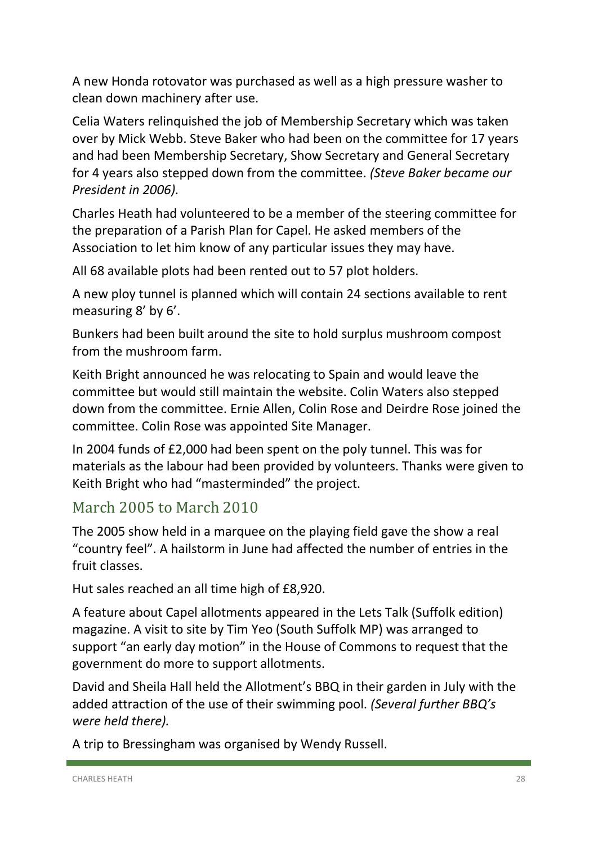A new Honda rotovator was purchased as well as a high pressure washer to clean down machinery after use.

Celia Waters relinquished the job of Membership Secretary which was taken over by Mick Webb. Steve Baker who had been on the committee for 17 years and had been Membership Secretary, Show Secretary and General Secretary for 4 years also stepped down from the committee. *(Steve Baker became our President in 2006).*

Charles Heath had volunteered to be a member of the steering committee for the preparation of a Parish Plan for Capel. He asked members of the Association to let him know of any particular issues they may have.

All 68 available plots had been rented out to 57 plot holders.

A new ploy tunnel is planned which will contain 24 sections available to rent measuring 8' by 6'.

Bunkers had been built around the site to hold surplus mushroom compost from the mushroom farm.

Keith Bright announced he was relocating to Spain and would leave the committee but would still maintain the website. Colin Waters also stepped down from the committee. Ernie Allen, Colin Rose and Deirdre Rose joined the committee. Colin Rose was appointed Site Manager.

In 2004 funds of £2,000 had been spent on the poly tunnel. This was for materials as the labour had been provided by volunteers. Thanks were given to Keith Bright who had "masterminded" the project.

## March 2005 to March 2010

The 2005 show held in a marquee on the playing field gave the show a real "country feel". A hailstorm in June had affected the number of entries in the fruit classes.

Hut sales reached an all time high of £8,920.

A feature about Capel allotments appeared in the Lets Talk (Suffolk edition) magazine. A visit to site by Tim Yeo (South Suffolk MP) was arranged to support "an early day motion" in the House of Commons to request that the government do more to support allotments.

David and Sheila Hall held the Allotment's BBQ in their garden in July with the added attraction of the use of their swimming pool. *(Several further BBQ's were held there).* 

A trip to Bressingham was organised by Wendy Russell.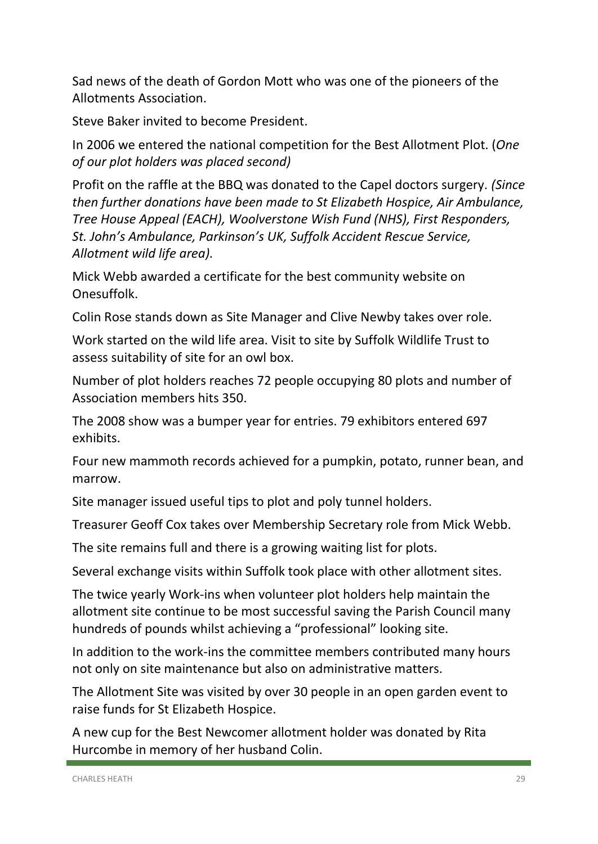Sad news of the death of Gordon Mott who was one of the pioneers of the Allotments Association.

Steve Baker invited to become President.

In 2006 we entered the national competition for the Best Allotment Plot. (*One of our plot holders was placed second)* 

Profit on the raffle at the BBQ was donated to the Capel doctors surgery. *(Since then further donations have been made to St Elizabeth Hospice, Air Ambulance, Tree House Appeal (EACH), Woolverstone Wish Fund (NHS), First Responders, St. John's Ambulance, Parkinson's UK, Suffolk Accident Rescue Service, Allotment wild life area).*

Mick Webb awarded a certificate for the best community website on Onesuffolk.

Colin Rose stands down as Site Manager and Clive Newby takes over role.

Work started on the wild life area. Visit to site by Suffolk Wildlife Trust to assess suitability of site for an owl box.

Number of plot holders reaches 72 people occupying 80 plots and number of Association members hits 350.

The 2008 show was a bumper year for entries. 79 exhibitors entered 697 exhibits.

Four new mammoth records achieved for a pumpkin, potato, runner bean, and marrow.

Site manager issued useful tips to plot and poly tunnel holders.

Treasurer Geoff Cox takes over Membership Secretary role from Mick Webb.

The site remains full and there is a growing waiting list for plots.

Several exchange visits within Suffolk took place with other allotment sites.

The twice yearly Work-ins when volunteer plot holders help maintain the allotment site continue to be most successful saving the Parish Council many hundreds of pounds whilst achieving a "professional" looking site.

In addition to the work-ins the committee members contributed many hours not only on site maintenance but also on administrative matters.

The Allotment Site was visited by over 30 people in an open garden event to raise funds for St Elizabeth Hospice.

A new cup for the Best Newcomer allotment holder was donated by Rita Hurcombe in memory of her husband Colin.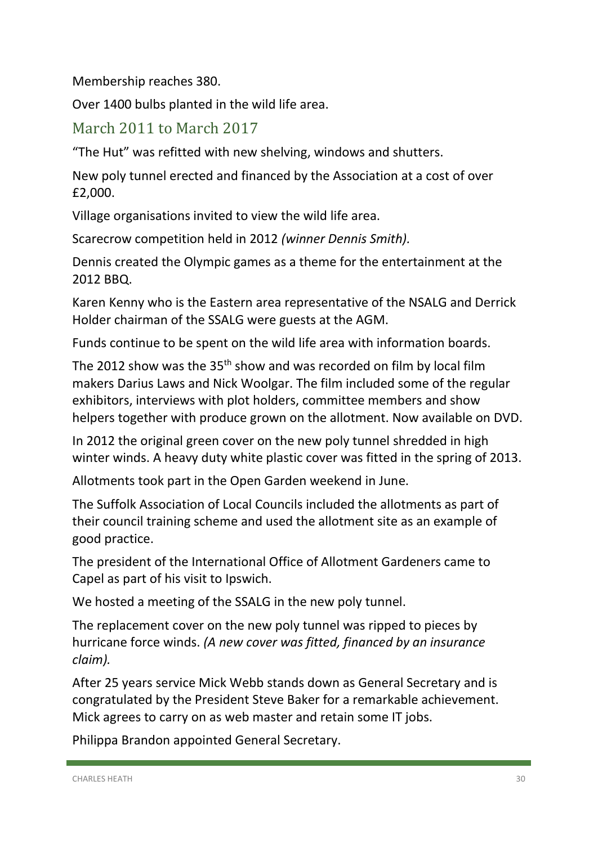Membership reaches 380.

Over 1400 bulbs planted in the wild life area.

#### March 2011 to March 2017

"The Hut" was refitted with new shelving, windows and shutters.

New poly tunnel erected and financed by the Association at a cost of over £2,000.

Village organisations invited to view the wild life area.

Scarecrow competition held in 2012 *(winner Dennis Smith).*

Dennis created the Olympic games as a theme for the entertainment at the 2012 BBQ.

Karen Kenny who is the Eastern area representative of the NSALG and Derrick Holder chairman of the SSALG were guests at the AGM.

Funds continue to be spent on the wild life area with information boards.

The 2012 show was the  $35<sup>th</sup>$  show and was recorded on film by local film makers Darius Laws and Nick Woolgar. The film included some of the regular exhibitors, interviews with plot holders, committee members and show helpers together with produce grown on the allotment. Now available on DVD.

In 2012 the original green cover on the new poly tunnel shredded in high winter winds. A heavy duty white plastic cover was fitted in the spring of 2013.

Allotments took part in the Open Garden weekend in June.

The Suffolk Association of Local Councils included the allotments as part of their council training scheme and used the allotment site as an example of good practice.

The president of the International Office of Allotment Gardeners came to Capel as part of his visit to Ipswich.

We hosted a meeting of the SSALG in the new poly tunnel.

The replacement cover on the new poly tunnel was ripped to pieces by hurricane force winds. *(A new cover was fitted, financed by an insurance claim).*

After 25 years service Mick Webb stands down as General Secretary and is congratulated by the President Steve Baker for a remarkable achievement. Mick agrees to carry on as web master and retain some IT jobs.

Philippa Brandon appointed General Secretary.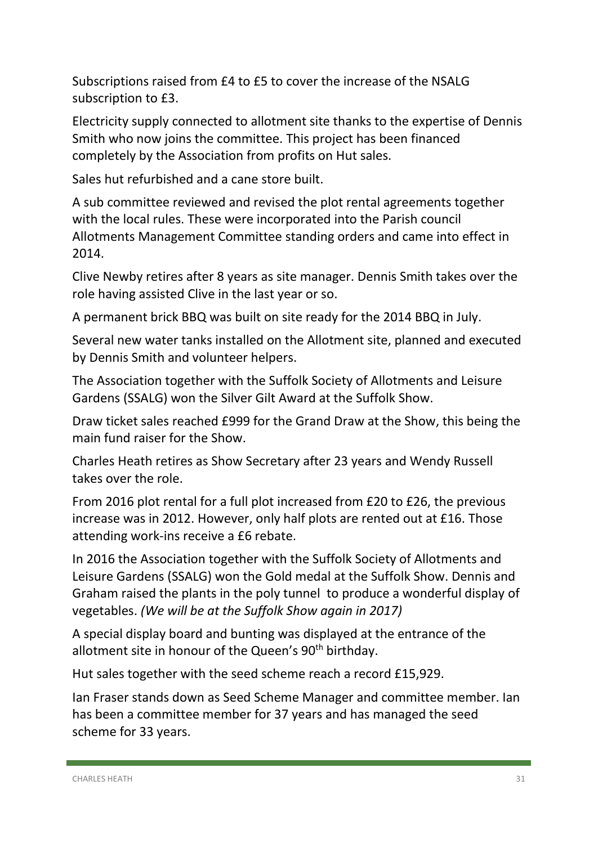Subscriptions raised from £4 to £5 to cover the increase of the NSALG subscription to £3.

Electricity supply connected to allotment site thanks to the expertise of Dennis Smith who now joins the committee. This project has been financed completely by the Association from profits on Hut sales.

Sales hut refurbished and a cane store built.

A sub committee reviewed and revised the plot rental agreements together with the local rules. These were incorporated into the Parish council Allotments Management Committee standing orders and came into effect in 2014.

Clive Newby retires after 8 years as site manager. Dennis Smith takes over the role having assisted Clive in the last year or so.

A permanent brick BBQ was built on site ready for the 2014 BBQ in July.

Several new water tanks installed on the Allotment site, planned and executed by Dennis Smith and volunteer helpers.

The Association together with the Suffolk Society of Allotments and Leisure Gardens (SSALG) won the Silver Gilt Award at the Suffolk Show.

Draw ticket sales reached £999 for the Grand Draw at the Show, this being the main fund raiser for the Show.

Charles Heath retires as Show Secretary after 23 years and Wendy Russell takes over the role.

From 2016 plot rental for a full plot increased from £20 to £26, the previous increase was in 2012. However, only half plots are rented out at £16. Those attending work-ins receive a £6 rebate.

In 2016 the Association together with the Suffolk Society of Allotments and Leisure Gardens (SSALG) won the Gold medal at the Suffolk Show. Dennis and Graham raised the plants in the poly tunnel to produce a wonderful display of vegetables. *(We will be at the Suffolk Show again in 2017)* 

A special display board and bunting was displayed at the entrance of the allotment site in honour of the Queen's  $90<sup>th</sup>$  birthday.

Hut sales together with the seed scheme reach a record £15,929.

Ian Fraser stands down as Seed Scheme Manager and committee member. Ian has been a committee member for 37 years and has managed the seed scheme for 33 years.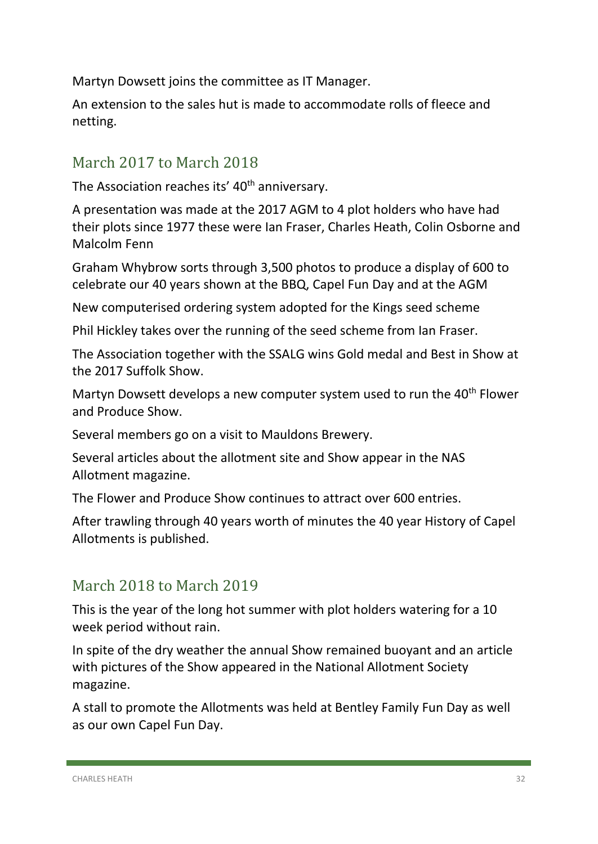Martyn Dowsett joins the committee as IT Manager.

An extension to the sales hut is made to accommodate rolls of fleece and netting.

## March 2017 to March 2018

The Association reaches its' 40<sup>th</sup> anniversary.

A presentation was made at the 2017 AGM to 4 plot holders who have had their plots since 1977 these were Ian Fraser, Charles Heath, Colin Osborne and Malcolm Fenn

Graham Whybrow sorts through 3,500 photos to produce a display of 600 to celebrate our 40 years shown at the BBQ, Capel Fun Day and at the AGM

New computerised ordering system adopted for the Kings seed scheme

Phil Hickley takes over the running of the seed scheme from Ian Fraser.

The Association together with the SSALG wins Gold medal and Best in Show at the 2017 Suffolk Show.

Martyn Dowsett develops a new computer system used to run the 40<sup>th</sup> Flower and Produce Show.

Several members go on a visit to Mauldons Brewery.

Several articles about the allotment site and Show appear in the NAS Allotment magazine.

The Flower and Produce Show continues to attract over 600 entries.

After trawling through 40 years worth of minutes the 40 year History of Capel Allotments is published.

#### March 2018 to March 2019

This is the year of the long hot summer with plot holders watering for a 10 week period without rain.

In spite of the dry weather the annual Show remained buoyant and an article with pictures of the Show appeared in the National Allotment Society magazine.

A stall to promote the Allotments was held at Bentley Family Fun Day as well as our own Capel Fun Day.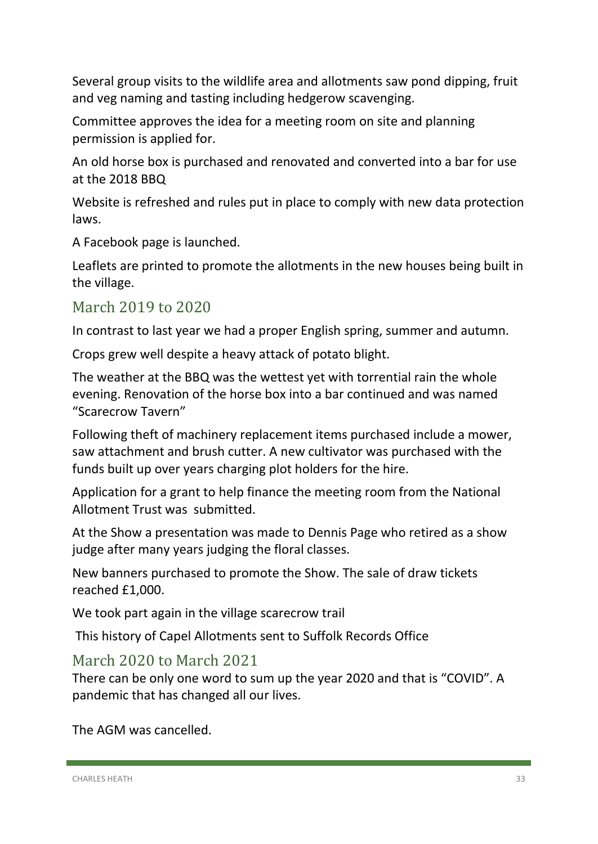Several group visits to the wildlife area and allotments saw pond dipping, fruit and veg naming and tasting including hedgerow scavenging.

Committee approves the idea for a meeting room on site and planning permission is applied for.

An old horse box is purchased and renovated and converted into a bar for use at the 2018 BBQ

Website is refreshed and rules put in place to comply with new data protection laws.

A Facebook page is launched.

Leaflets are printed to promote the allotments in the new houses being built in the village.

## March 2019 to 2020

In contrast to last year we had a proper English spring, summer and autumn.

Crops grew well despite a heavy attack of potato blight.

The weather at the BBQ was the wettest yet with torrential rain the whole evening. Renovation of the horse box into a bar continued and was named "Scarecrow Tavern"

Following theft of machinery replacement items purchased include a mower, saw attachment and brush cutter. A new cultivator was purchased with the funds built up over years charging plot holders for the hire.

Application for a grant to help finance the meeting room from the National Allotment Trust was submitted.

At the Show a presentation was made to Dennis Page who retired as a show judge after many years judging the floral classes.

New banners purchased to promote the Show. The sale of draw tickets reached £1,000.

We took part again in the village scarecrow trail

This history of Capel Allotments sent to Suffolk Records Office

## March 2020 to March 2021

There can be only one word to sum up the year 2020 and that is "COVID". A pandemic that has changed all our lives.

The AGM was cancelled.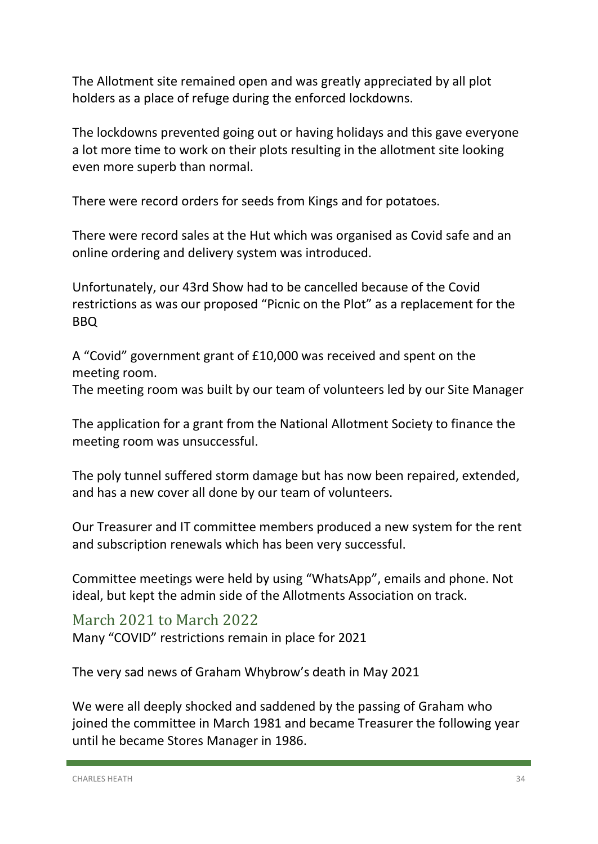The Allotment site remained open and was greatly appreciated by all plot holders as a place of refuge during the enforced lockdowns.

The lockdowns prevented going out or having holidays and this gave everyone a lot more time to work on their plots resulting in the allotment site looking even more superb than normal.

There were record orders for seeds from Kings and for potatoes.

There were record sales at the Hut which was organised as Covid safe and an online ordering and delivery system was introduced.

Unfortunately, our 43rd Show had to be cancelled because of the Covid restrictions as was our proposed "Picnic on the Plot" as a replacement for the BBQ

A "Covid" government grant of £10,000 was received and spent on the meeting room.

The meeting room was built by our team of volunteers led by our Site Manager

The application for a grant from the National Allotment Society to finance the meeting room was unsuccessful.

The poly tunnel suffered storm damage but has now been repaired, extended, and has a new cover all done by our team of volunteers.

Our Treasurer and IT committee members produced a new system for the rent and subscription renewals which has been very successful.

Committee meetings were held by using "WhatsApp", emails and phone. Not ideal, but kept the admin side of the Allotments Association on track.

March 2021 to March 2022

Many "COVID" restrictions remain in place for 2021

The very sad news of Graham Whybrow's death in May 2021

We were all deeply shocked and saddened by the passing of Graham who joined the committee in March 1981 and became Treasurer the following year until he became Stores Manager in 1986.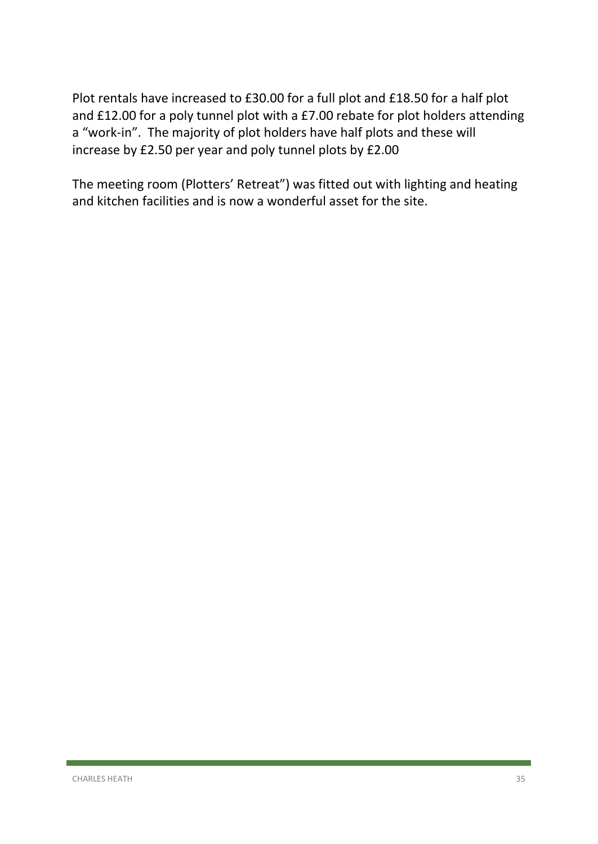Plot rentals have increased to £30.00 for a full plot and £18.50 for a half plot and £12.00 for a poly tunnel plot with a £7.00 rebate for plot holders attending a "work-in". The majority of plot holders have half plots and these will increase by £2.50 per year and poly tunnel plots by £2.00

The meeting room (Plotters' Retreat") was fitted out with lighting and heating and kitchen facilities and is now a wonderful asset for the site.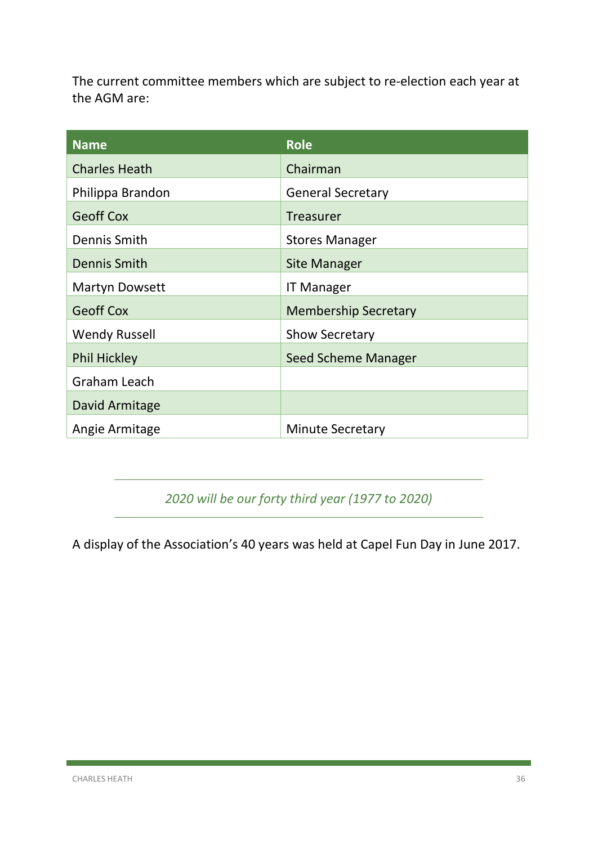The current committee members which are subject to re-election each year at the AGM are:

| <b>Name</b>           | <b>Role</b>                 |
|-----------------------|-----------------------------|
| <b>Charles Heath</b>  | Chairman                    |
| Philippa Brandon      | <b>General Secretary</b>    |
| <b>Geoff Cox</b>      | <b>Treasurer</b>            |
| Dennis Smith          | <b>Stores Manager</b>       |
| Dennis Smith          | <b>Site Manager</b>         |
| <b>Martyn Dowsett</b> | <b>IT Manager</b>           |
| <b>Geoff Cox</b>      | <b>Membership Secretary</b> |
| <b>Wendy Russell</b>  | <b>Show Secretary</b>       |
| <b>Phil Hickley</b>   | Seed Scheme Manager         |
| <b>Graham Leach</b>   |                             |
| David Armitage        |                             |
| Angie Armitage        | <b>Minute Secretary</b>     |

*2020 will be our forty third year (1977 to 2020)*

A display of the Association's 40 years was held at Capel Fun Day in June 2017.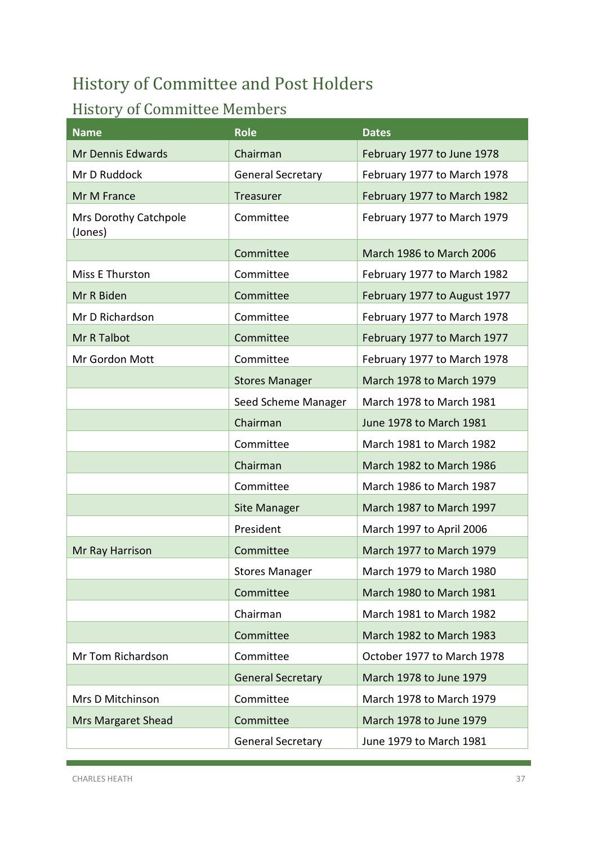## <span id="page-37-0"></span>History of Committee and Post Holders

## History of Committee Members

| <b>Name</b>                      | <b>Role</b>              | <b>Dates</b>                 |
|----------------------------------|--------------------------|------------------------------|
| Mr Dennis Edwards                | Chairman                 | February 1977 to June 1978   |
| Mr D Ruddock                     | <b>General Secretary</b> | February 1977 to March 1978  |
| Mr M France                      | <b>Treasurer</b>         | February 1977 to March 1982  |
| Mrs Dorothy Catchpole<br>(Jones) | Committee                | February 1977 to March 1979  |
|                                  | Committee                | March 1986 to March 2006     |
| Miss E Thurston                  | Committee                | February 1977 to March 1982  |
| Mr R Biden                       | Committee                | February 1977 to August 1977 |
| Mr D Richardson                  | Committee                | February 1977 to March 1978  |
| Mr R Talbot                      | Committee                | February 1977 to March 1977  |
| Mr Gordon Mott                   | Committee                | February 1977 to March 1978  |
|                                  | <b>Stores Manager</b>    | March 1978 to March 1979     |
|                                  | Seed Scheme Manager      | March 1978 to March 1981     |
|                                  | Chairman                 | June 1978 to March 1981      |
|                                  | Committee                | March 1981 to March 1982     |
|                                  | Chairman                 | March 1982 to March 1986     |
|                                  | Committee                | March 1986 to March 1987     |
|                                  | Site Manager             | March 1987 to March 1997     |
|                                  | President                | March 1997 to April 2006     |
| Mr Ray Harrison                  | Committee                | March 1977 to March 1979     |
|                                  | <b>Stores Manager</b>    | March 1979 to March 1980     |
|                                  | Committee                | March 1980 to March 1981     |
|                                  | Chairman                 | March 1981 to March 1982     |
|                                  | Committee                | March 1982 to March 1983     |
| Mr Tom Richardson                | Committee                | October 1977 to March 1978   |
|                                  | <b>General Secretary</b> | March 1978 to June 1979      |
| Mrs D Mitchinson                 | Committee                | March 1978 to March 1979     |
| <b>Mrs Margaret Shead</b>        | Committee                | March 1978 to June 1979      |
|                                  | <b>General Secretary</b> | June 1979 to March 1981      |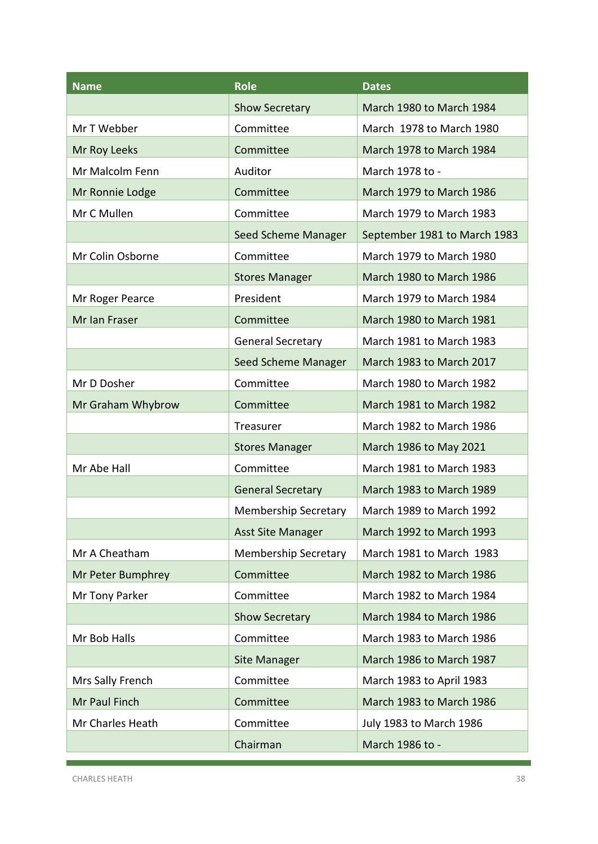| <b>Name</b>       | <b>Role</b>                 | <b>Dates</b>                 |
|-------------------|-----------------------------|------------------------------|
|                   | <b>Show Secretary</b>       | March 1980 to March 1984     |
| Mr T Webber       | Committee                   | March 1978 to March 1980     |
| Mr Roy Leeks      | Committee                   | March 1978 to March 1984     |
| Mr Malcolm Fenn   | Auditor                     | March 1978 to -              |
| Mr Ronnie Lodge   | Committee                   | March 1979 to March 1986     |
| Mr C Mullen       | Committee                   | March 1979 to March 1983     |
|                   | Seed Scheme Manager         | September 1981 to March 1983 |
| Mr Colin Osborne  | Committee                   | March 1979 to March 1980     |
|                   | <b>Stores Manager</b>       | March 1980 to March 1986     |
| Mr Roger Pearce   | President                   | March 1979 to March 1984     |
| Mr Ian Fraser     | Committee                   | March 1980 to March 1981     |
|                   | <b>General Secretary</b>    | March 1981 to March 1983     |
|                   | Seed Scheme Manager         | March 1983 to March 2017     |
| Mr D Dosher       | Committee                   | March 1980 to March 1982     |
| Mr Graham Whybrow | Committee                   | March 1981 to March 1982     |
|                   | Treasurer                   | March 1982 to March 1986     |
|                   | <b>Stores Manager</b>       | March 1986 to May 2021       |
| Mr Abe Hall       | Committee                   | March 1981 to March 1983     |
|                   | <b>General Secretary</b>    | March 1983 to March 1989     |
|                   | <b>Membership Secretary</b> | March 1989 to March 1992     |
|                   | <b>Asst Site Manager</b>    | March 1992 to March 1993     |
| Mr A Cheatham     | <b>Membership Secretary</b> | March 1981 to March 1983     |
| Mr Peter Bumphrey | Committee                   | March 1982 to March 1986     |
| Mr Tony Parker    | Committee                   | March 1982 to March 1984     |
|                   | <b>Show Secretary</b>       | March 1984 to March 1986     |
| Mr Bob Halls      | Committee                   | March 1983 to March 1986     |
|                   | <b>Site Manager</b>         | March 1986 to March 1987     |
| Mrs Sally French  | Committee                   | March 1983 to April 1983     |
| Mr Paul Finch     | Committee                   | March 1983 to March 1986     |
| Mr Charles Heath  | Committee                   | July 1983 to March 1986      |
|                   | Chairman                    | March 1986 to -              |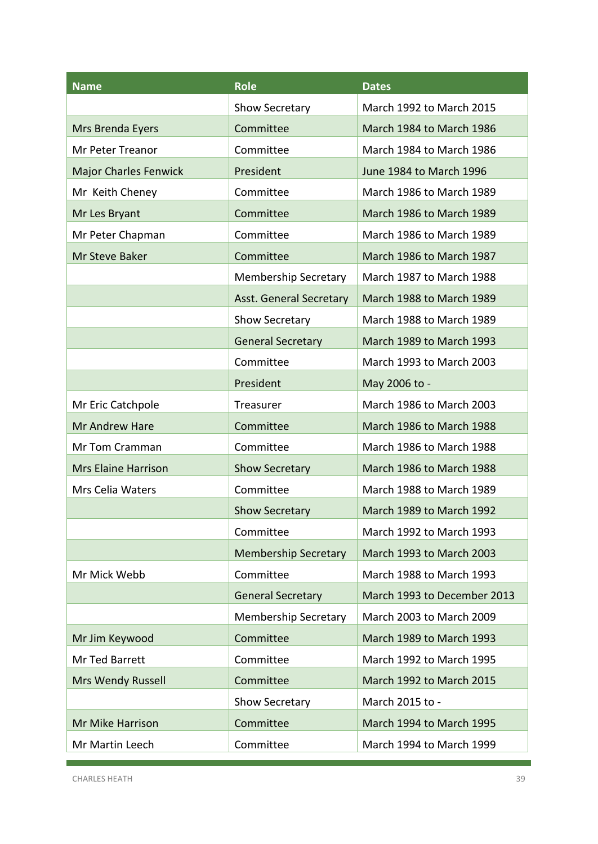| <b>Name</b>                  | <b>Role</b>                 | <b>Dates</b>                |
|------------------------------|-----------------------------|-----------------------------|
|                              | Show Secretary              | March 1992 to March 2015    |
| Mrs Brenda Eyers             | Committee                   | March 1984 to March 1986    |
| Mr Peter Treanor             | Committee                   | March 1984 to March 1986    |
| <b>Major Charles Fenwick</b> | President                   | June 1984 to March 1996     |
| Mr Keith Cheney              | Committee                   | March 1986 to March 1989    |
| Mr Les Bryant                | Committee                   | March 1986 to March 1989    |
| Mr Peter Chapman             | Committee                   | March 1986 to March 1989    |
| Mr Steve Baker               | Committee                   | March 1986 to March 1987    |
|                              | <b>Membership Secretary</b> | March 1987 to March 1988    |
|                              | Asst. General Secretary     | March 1988 to March 1989    |
|                              | Show Secretary              | March 1988 to March 1989    |
|                              | <b>General Secretary</b>    | March 1989 to March 1993    |
|                              | Committee                   | March 1993 to March 2003    |
|                              | President                   | May 2006 to -               |
| Mr Eric Catchpole            | Treasurer                   | March 1986 to March 2003    |
| Mr Andrew Hare               | Committee                   | March 1986 to March 1988    |
| Mr Tom Cramman               | Committee                   | March 1986 to March 1988    |
| <b>Mrs Elaine Harrison</b>   | <b>Show Secretary</b>       | March 1986 to March 1988    |
| <b>Mrs Celia Waters</b>      | Committee                   | March 1988 to March 1989    |
|                              | <b>Show Secretary</b>       | March 1989 to March 1992    |
|                              | Committee                   | March 1992 to March 1993    |
|                              | <b>Membership Secretary</b> | March 1993 to March 2003    |
| Mr Mick Webb                 | Committee                   | March 1988 to March 1993    |
|                              | <b>General Secretary</b>    | March 1993 to December 2013 |
|                              | <b>Membership Secretary</b> | March 2003 to March 2009    |
| Mr Jim Keywood               | Committee                   | March 1989 to March 1993    |
| Mr Ted Barrett               | Committee                   | March 1992 to March 1995    |
| <b>Mrs Wendy Russell</b>     | Committee                   | March 1992 to March 2015    |
|                              | Show Secretary              | March 2015 to -             |
| Mr Mike Harrison             | Committee                   | March 1994 to March 1995    |
| Mr Martin Leech              | Committee                   | March 1994 to March 1999    |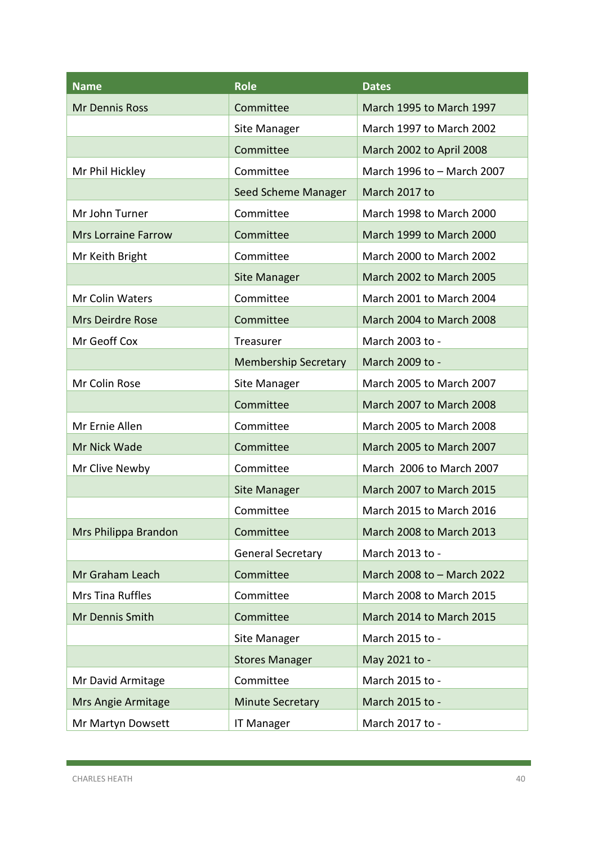| <b>Name</b>                | <b>Role</b>                 | <b>Dates</b>               |
|----------------------------|-----------------------------|----------------------------|
| Mr Dennis Ross             | Committee                   | March 1995 to March 1997   |
|                            | Site Manager                | March 1997 to March 2002   |
|                            | Committee                   | March 2002 to April 2008   |
| Mr Phil Hickley            | Committee                   | March 1996 to - March 2007 |
|                            | Seed Scheme Manager         | March 2017 to              |
| Mr John Turner             | Committee                   | March 1998 to March 2000   |
| <b>Mrs Lorraine Farrow</b> | Committee                   | March 1999 to March 2000   |
| Mr Keith Bright            | Committee                   | March 2000 to March 2002   |
|                            | <b>Site Manager</b>         | March 2002 to March 2005   |
| Mr Colin Waters            | Committee                   | March 2001 to March 2004   |
| <b>Mrs Deirdre Rose</b>    | Committee                   | March 2004 to March 2008   |
| Mr Geoff Cox               | Treasurer                   | March 2003 to -            |
|                            | <b>Membership Secretary</b> | March 2009 to -            |
| Mr Colin Rose              | Site Manager                | March 2005 to March 2007   |
|                            | Committee                   | March 2007 to March 2008   |
| Mr Ernie Allen             | Committee                   | March 2005 to March 2008   |
| Mr Nick Wade               | Committee                   | March 2005 to March 2007   |
| Mr Clive Newby             | Committee                   | March 2006 to March 2007   |
|                            | <b>Site Manager</b>         | March 2007 to March 2015   |
|                            | Committee                   | March 2015 to March 2016   |
| Mrs Philippa Brandon       | Committee                   | March 2008 to March 2013   |
|                            | <b>General Secretary</b>    | March 2013 to -            |
| Mr Graham Leach            | Committee                   | March 2008 to - March 2022 |
| Mrs Tina Ruffles           | Committee                   | March 2008 to March 2015   |
| Mr Dennis Smith            | Committee                   | March 2014 to March 2015   |
|                            | Site Manager                | March 2015 to -            |
|                            | <b>Stores Manager</b>       | May 2021 to -              |
| Mr David Armitage          | Committee                   | March 2015 to -            |
| Mrs Angie Armitage         | <b>Minute Secretary</b>     | March 2015 to -            |
| Mr Martyn Dowsett          | <b>IT Manager</b>           | March 2017 to -            |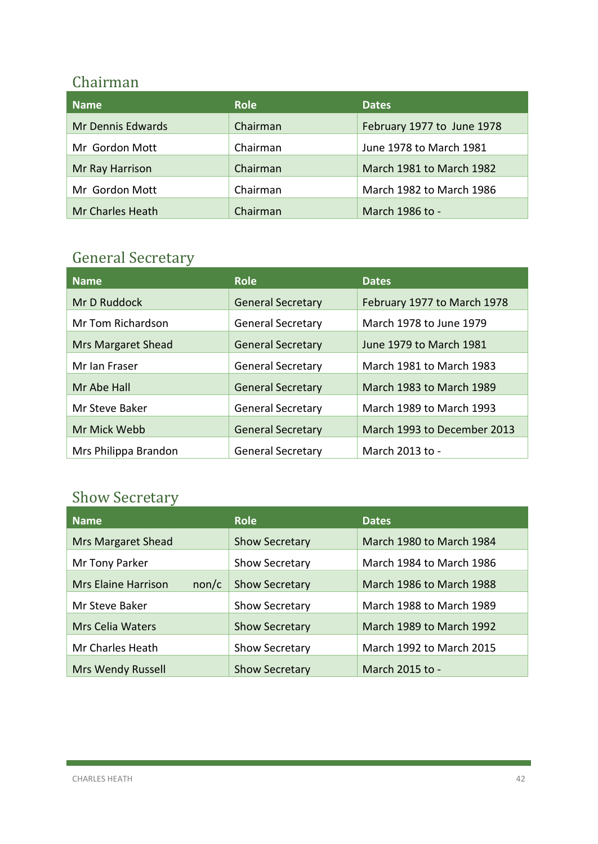#### Chairman

| <b>Name</b>              | <b>Role</b> | <b>Dates</b>               |
|--------------------------|-------------|----------------------------|
| <b>Mr Dennis Edwards</b> | Chairman    | February 1977 to June 1978 |
| Mr Gordon Mott           | Chairman    | June 1978 to March 1981    |
| Mr Ray Harrison          | Chairman    | March 1981 to March 1982   |
| Mr Gordon Mott           | Chairman    | March 1982 to March 1986   |
| Mr Charles Heath         | Chairman    | March 1986 to -            |

## General Secretary

| <b>Name</b>               | <b>Role</b>              | <b>Dates</b>                |
|---------------------------|--------------------------|-----------------------------|
| Mr D Ruddock              | <b>General Secretary</b> | February 1977 to March 1978 |
| Mr Tom Richardson         | <b>General Secretary</b> | March 1978 to June 1979     |
| <b>Mrs Margaret Shead</b> | <b>General Secretary</b> | June 1979 to March 1981     |
| Mr Ian Fraser             | <b>General Secretary</b> | March 1981 to March 1983    |
| Mr Abe Hall               | <b>General Secretary</b> | March 1983 to March 1989    |
| Mr Steve Baker            | <b>General Secretary</b> | March 1989 to March 1993    |
| Mr Mick Webb              | <b>General Secretary</b> | March 1993 to December 2013 |
| Mrs Philippa Brandon      | <b>General Secretary</b> | March 2013 to -             |

## Show Secretary and the secretary of the secretary of the secretary of the secretary of the secretary of the secretary of the secretary of the secretary of the secretary of the secretary of the secretary of the secretary of

| <b>Name</b>                         | Role                  | <b>Dates</b>             |
|-------------------------------------|-----------------------|--------------------------|
| <b>Mrs Margaret Shead</b>           | <b>Show Secretary</b> | March 1980 to March 1984 |
| Mr Tony Parker                      | <b>Show Secretary</b> | March 1984 to March 1986 |
| <b>Mrs Elaine Harrison</b><br>non/c | <b>Show Secretary</b> | March 1986 to March 1988 |
| Mr Steve Baker                      | <b>Show Secretary</b> | March 1988 to March 1989 |
| <b>Mrs Celia Waters</b>             | <b>Show Secretary</b> | March 1989 to March 1992 |
| Mr Charles Heath                    | <b>Show Secretary</b> | March 1992 to March 2015 |
| <b>Mrs Wendy Russell</b>            | <b>Show Secretary</b> | March 2015 to -          |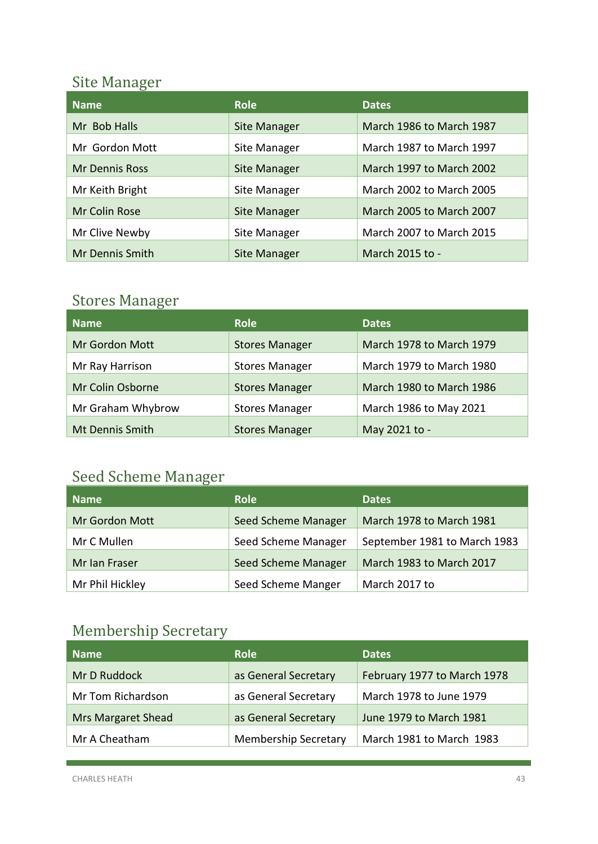## Site Manager

| <b>Name</b>     | <b>Role</b>         | <b>Dates</b>                    |
|-----------------|---------------------|---------------------------------|
| Mr Bob Halls    | <b>Site Manager</b> | March 1986 to March 1987        |
| Mr Gordon Mott  | Site Manager        | March 1987 to March 1997        |
| Mr Dennis Ross  | <b>Site Manager</b> | March 1997 to March 2002        |
| Mr Keith Bright | Site Manager        | <b>March 2002 to March 2005</b> |
| Mr Colin Rose   | <b>Site Manager</b> | March 2005 to March 2007        |
| Mr Clive Newby  | Site Manager        | March 2007 to March 2015        |
| Mr Dennis Smith | <b>Site Manager</b> | March 2015 to -                 |

## Stores Manager

| Name              | Role                  | <b>Dates</b>             |
|-------------------|-----------------------|--------------------------|
| Mr Gordon Mott    | <b>Stores Manager</b> | March 1978 to March 1979 |
| Mr Ray Harrison   | <b>Stores Manager</b> | March 1979 to March 1980 |
| Mr Colin Osborne  | <b>Stores Manager</b> | March 1980 to March 1986 |
| Mr Graham Whybrow | <b>Stores Manager</b> | March 1986 to May 2021   |
| Mt Dennis Smith   | <b>Stores Manager</b> | May 2021 to -            |

## Seed Scheme Manager

| <b>Name</b>           | <b>Role</b>                | <b>Dates</b>                 |
|-----------------------|----------------------------|------------------------------|
| <b>Mr Gordon Mott</b> | Seed Scheme Manager        | March 1978 to March 1981     |
| Mr C Mullen           | Seed Scheme Manager        | September 1981 to March 1983 |
| Mr Ian Fraser         | <b>Seed Scheme Manager</b> | March 1983 to March 2017     |
| Mr Phil Hickley       | Seed Scheme Manger         | March 2017 to                |

## Membership Secretary

| Name                      | <b>Role</b>                 | <b>Dates</b>                |
|---------------------------|-----------------------------|-----------------------------|
| Mr D Ruddock              | as General Secretary        | February 1977 to March 1978 |
| Mr Tom Richardson         | as General Secretary        | March 1978 to June 1979     |
| <b>Mrs Margaret Shead</b> | as General Secretary        | June 1979 to March 1981     |
| Mr A Cheatham             | <b>Membership Secretary</b> | March 1981 to March 1983    |